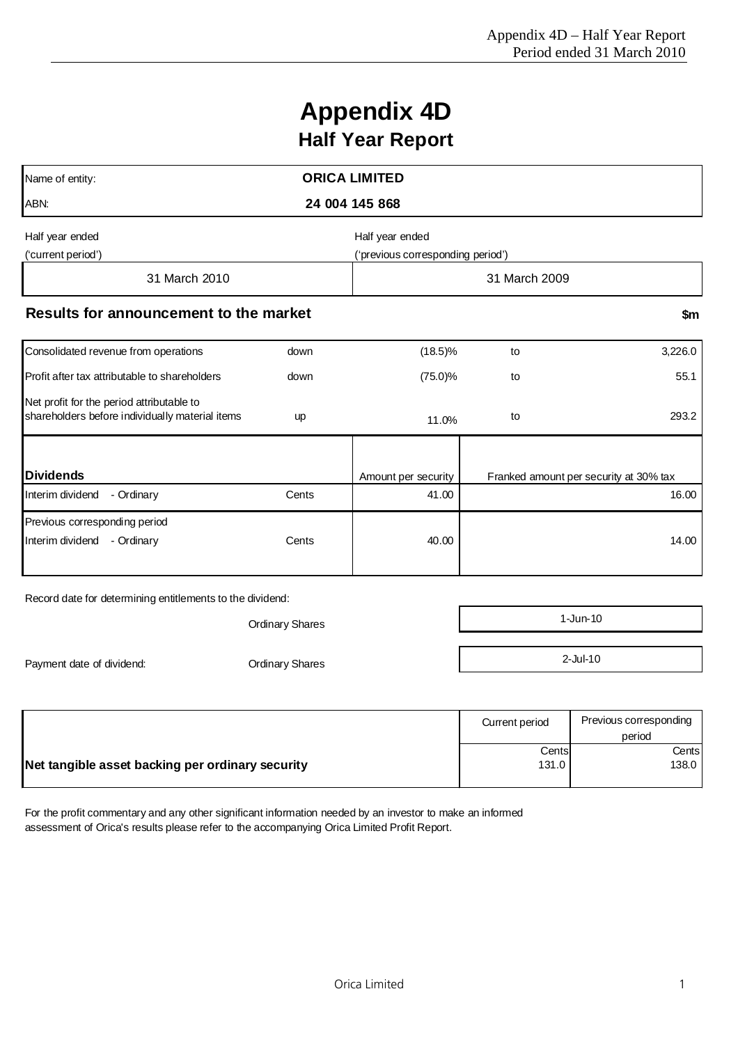# **Appendix 4D Half Year Report**

|                                        | <b>ORICA LIMITED</b>              |                     |                                        |  |  |  |
|----------------------------------------|-----------------------------------|---------------------|----------------------------------------|--|--|--|
|                                        | 24 004 145 868                    |                     |                                        |  |  |  |
|                                        | Half year ended                   |                     |                                        |  |  |  |
|                                        | ('previous corresponding period') |                     |                                        |  |  |  |
|                                        |                                   | 31 March 2009       |                                        |  |  |  |
| Results for announcement to the market |                                   |                     | \$m                                    |  |  |  |
| down                                   | $(18.5)\%$                        | to                  | 3,226.0                                |  |  |  |
| down                                   | $(75.0)\%$                        | to                  | 55.1                                   |  |  |  |
| up                                     | 11.0%                             | to                  | 293.2                                  |  |  |  |
|                                        |                                   |                     |                                        |  |  |  |
| Cents                                  | 41.00                             |                     | 16.00                                  |  |  |  |
|                                        |                                   |                     |                                        |  |  |  |
| Cents                                  | 40.00                             |                     | 14.00                                  |  |  |  |
|                                        |                                   | Amount per security | Franked amount per security at 30% tax |  |  |  |

Record date for determining entitlements to the dividend:

Payment date of dividend:

| <b>Ordinary Shares</b> | 1-Jun-10    |
|------------------------|-------------|
| <b>Ordinary Shares</b> | $2$ -Jul-10 |

|                                                  | Current period | Previous corresponding<br>period |
|--------------------------------------------------|----------------|----------------------------------|
|                                                  | Cents          | Centsl                           |
| Net tangible asset backing per ordinary security | 131.0          | 138.0                            |

For the profit commentary and any other significant information needed by an investor to make an informed assessment of Orica's results please refer to the accompanying Orica Limited Profit Report.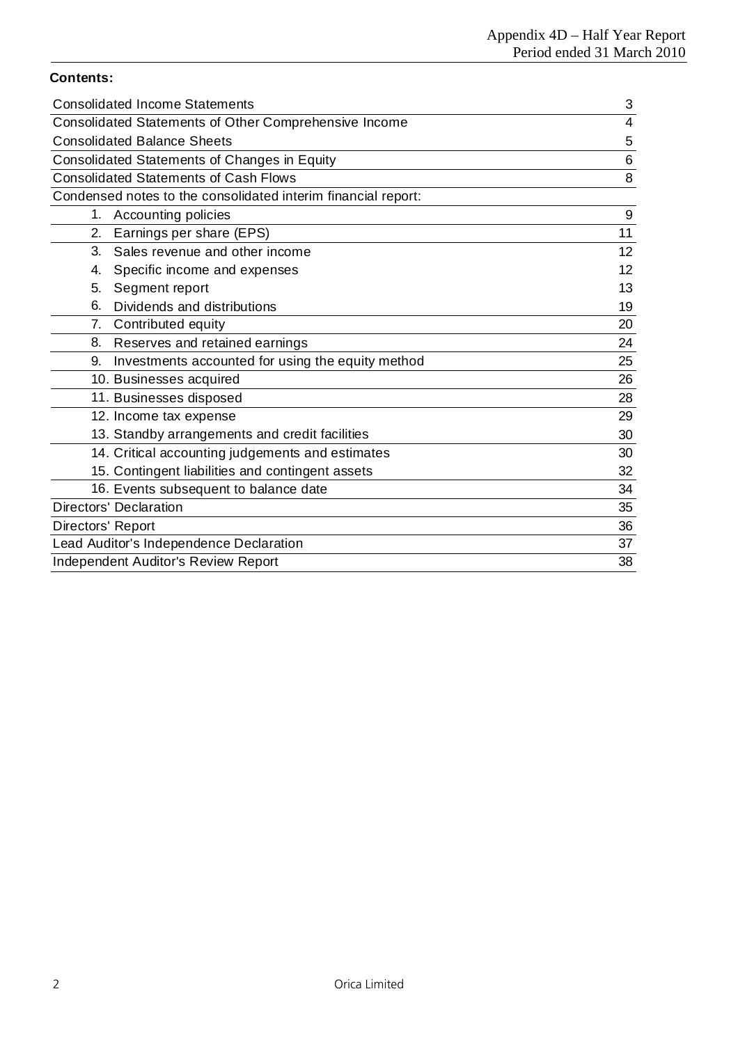# **Contents:**

| <b>Consolidated Income Statements</b>                         | 3  |
|---------------------------------------------------------------|----|
| <b>Consolidated Statements of Other Comprehensive Income</b>  | 4  |
| <b>Consolidated Balance Sheets</b>                            | 5  |
| Consolidated Statements of Changes in Equity                  | 6  |
| <b>Consolidated Statements of Cash Flows</b>                  | 8  |
| Condensed notes to the consolidated interim financial report: |    |
| 1. Accounting policies                                        | 9  |
| Earnings per share (EPS)<br>2.                                | 11 |
| 3.<br>Sales revenue and other income                          | 12 |
| Specific income and expenses<br>4.                            | 12 |
| Segment report<br>5.                                          | 13 |
| Dividends and distributions<br>6.                             | 19 |
| Contributed equity<br>7.                                      | 20 |
| 8. Reserves and retained earnings                             | 24 |
| Investments accounted for using the equity method<br>9.       | 25 |
| 10. Businesses acquired                                       | 26 |
| 11. Businesses disposed                                       | 28 |
| 12. Income tax expense                                        | 29 |
| 13. Standby arrangements and credit facilities                | 30 |
| 14. Critical accounting judgements and estimates              | 30 |
| 15. Contingent liabilities and contingent assets              | 32 |
| 16. Events subsequent to balance date                         | 34 |
| <b>Directors' Declaration</b>                                 | 35 |
| Directors' Report                                             | 36 |
| Lead Auditor's Independence Declaration                       | 37 |
| <b>Independent Auditor's Review Report</b>                    | 38 |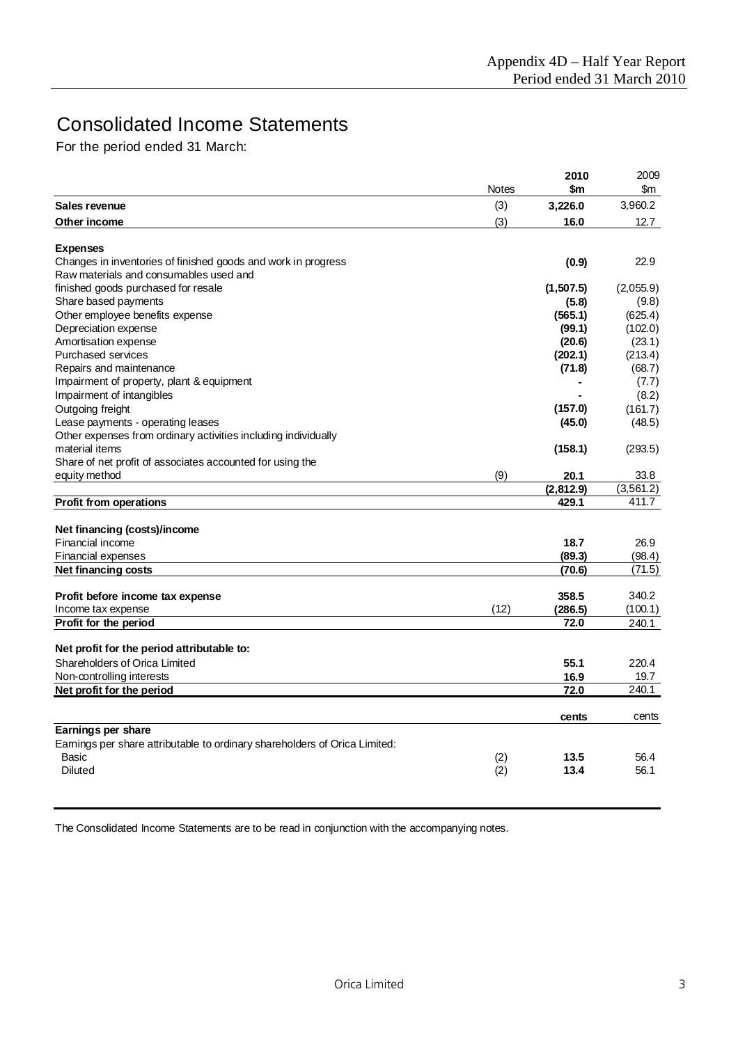# Consolidated Income Statements

For the period ended 31 March:

|                                                                                                         |              | 2010      | 2009       |
|---------------------------------------------------------------------------------------------------------|--------------|-----------|------------|
|                                                                                                         | <b>Notes</b> | \$m       | \$m        |
| Sales revenue                                                                                           | (3)          | 3,226.0   | 3,960.2    |
| Other income                                                                                            | (3)          | 16.0      | 12.7       |
|                                                                                                         |              |           |            |
| <b>Expenses</b>                                                                                         |              |           | 22.9       |
| Changes in inventories of finished goods and work in progress<br>Raw materials and consumables used and |              | (0.9)     |            |
| finished goods purchased for resale                                                                     |              | (1,507.5) | (2,055.9)  |
| Share based payments                                                                                    |              | (5.8)     | (9.8)      |
| Other employee benefits expense                                                                         |              | (565.1)   | (625.4)    |
| Depreciation expense                                                                                    |              | (99.1)    | (102.0)    |
| Amortisation expense                                                                                    |              | (20.6)    | (23.1)     |
| <b>Purchased services</b>                                                                               |              | (202.1)   | (213.4)    |
| Repairs and maintenance                                                                                 |              | (71.8)    | (68.7)     |
| Impairment of property, plant & equipment                                                               |              |           | (7.7)      |
| Impairment of intangibles                                                                               |              |           | (8.2)      |
| Outgoing freight                                                                                        |              | (157.0)   | (161.7)    |
| Lease payments - operating leases                                                                       |              | (45.0)    | (48.5)     |
| Other expenses from ordinary activities including individually                                          |              |           |            |
| material items                                                                                          |              | (158.1)   | (293.5)    |
| Share of net profit of associates accounted for using the                                               |              |           |            |
| equity method                                                                                           | (9)          | 20.1      | 33.8       |
|                                                                                                         |              | (2,812.9) | (3, 561.2) |
| Profit from operations                                                                                  |              | 429.1     | 411.7      |
|                                                                                                         |              |           |            |
| Net financing (costs)/income                                                                            |              |           |            |
| <b>Financial income</b>                                                                                 |              | 18.7      | 26.9       |
| Financial expenses                                                                                      |              | (89.3)    | (98.4)     |
| Net financing costs                                                                                     |              | (70.6)    | (71.5)     |
|                                                                                                         |              |           |            |
| Profit before income tax expense                                                                        |              | 358.5     | 340.2      |
| Income tax expense                                                                                      | (12)         | (286.5)   | (100.1)    |
| Profit for the period                                                                                   |              | 72.0      | 240.1      |
|                                                                                                         |              |           |            |
| Net profit for the period attributable to:                                                              |              |           |            |
| Shareholders of Orica Limited                                                                           |              | 55.1      | 220.4      |
| Non-controlling interests                                                                               |              | 16.9      | 19.7       |
| Net profit for the period                                                                               |              | 72.0      | 240.1      |
|                                                                                                         |              |           |            |
|                                                                                                         |              | cents     | cents      |
| Earnings per share                                                                                      |              |           |            |
| Earnings per share attributable to ordinary shareholders of Orica Limited:                              |              |           |            |
| Basic                                                                                                   | (2)          | 13.5      | 56.4       |
| <b>Diluted</b>                                                                                          | (2)          | 13.4      | 56.1       |
|                                                                                                         |              |           |            |

The Consolidated Income Statements are to be read in conjunction with the accompanying notes.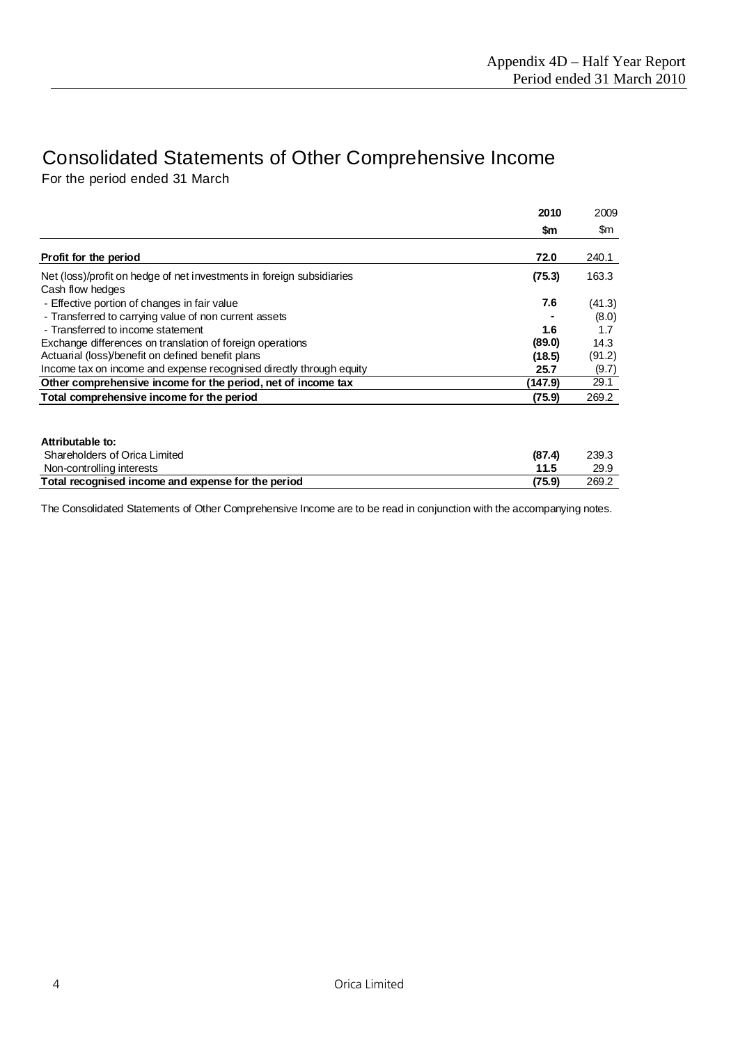# Consolidated Statements of Other Comprehensive Income For the period ended 31 March

| Cash flow hedges<br>- Effective portion of changes in fair value<br>- Transferred to carrying value of non current assets | \$m<br>72.0 | \$m<br>240.1 |
|---------------------------------------------------------------------------------------------------------------------------|-------------|--------------|
| Profit for the period<br>Net (loss)/profit on hedge of net investments in foreign subsidiaries                            |             |              |
|                                                                                                                           |             |              |
|                                                                                                                           | (75.3)      | 163.3        |
|                                                                                                                           | 7.6         | (41.3)       |
|                                                                                                                           |             | (8.0)        |
| - Transferred to income statement                                                                                         | 1.6         | 1.7          |
| Exchange differences on translation of foreign operations                                                                 | (89.0)      | 14.3         |
| Actuarial (loss)/benefit on defined benefit plans                                                                         | (18.5)      | (91.2)       |
| Income tax on income and expense recognised directly through equity                                                       | 25.7        | (9.7)        |
| Other comprehensive income for the period, net of income tax                                                              | (147.9)     | 29.1         |
| Total comprehensive income for the period                                                                                 | (75.9)      | 269.2        |

| Attributable to:                                   |        |       |
|----------------------------------------------------|--------|-------|
| Shareholders of Orica Limited                      | (87.4) | 239.3 |
| Non-controlling interests                          | 11.5   | 29.9  |
| Total recognised income and expense for the period | (75.9) | 269.2 |

The Consolidated Statements of Other Comprehensive Income are to be read in conjunction with the accompanying notes.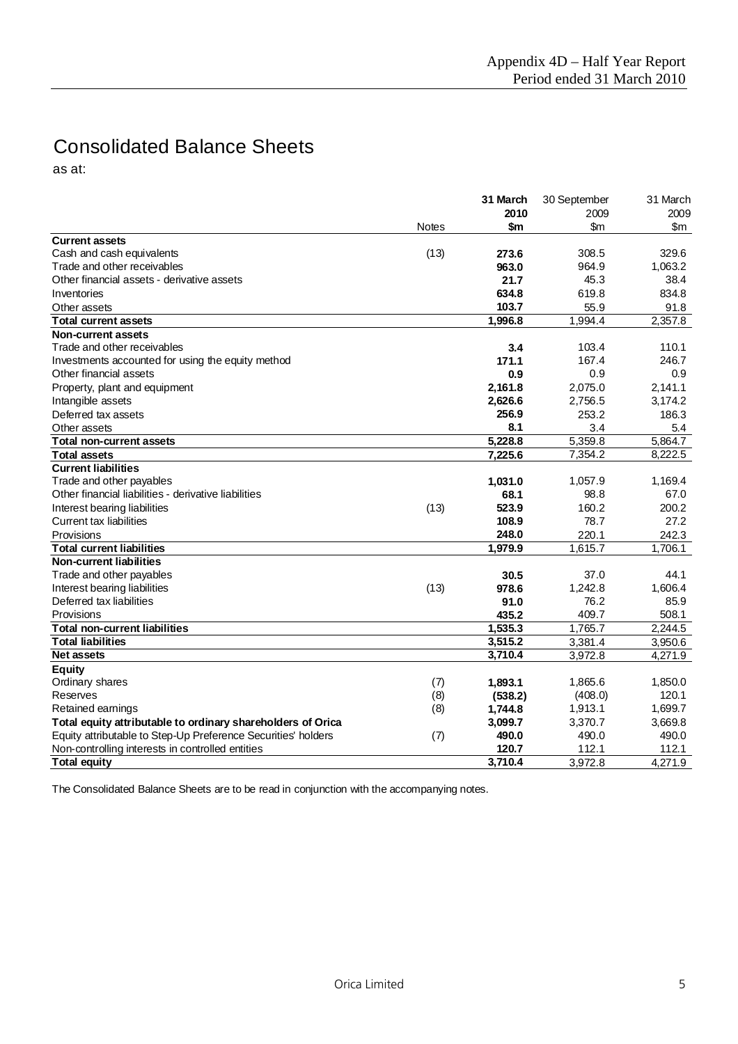# Consolidated Balance Sheets

as at:

|                                                               |              | 31 March | 30 September | 31 March |
|---------------------------------------------------------------|--------------|----------|--------------|----------|
|                                                               |              | 2010     | 2009         | 2009     |
|                                                               | <b>Notes</b> | \$m      | \$m          | \$m      |
| <b>Current assets</b>                                         |              |          |              |          |
| Cash and cash equivalents                                     | (13)         | 273.6    | 308.5        | 329.6    |
| Trade and other receivables                                   |              | 963.0    | 964.9        | 1.063.2  |
| Other financial assets - derivative assets                    |              | 21.7     | 45.3         | 38.4     |
| Inventories                                                   |              | 634.8    | 619.8        | 834.8    |
| Other assets                                                  |              | 103.7    | 55.9         | 91.8     |
| <b>Total current assets</b>                                   |              | 1,996.8  | 1,994.4      | 2,357.8  |
| Non-current assets                                            |              |          |              |          |
| Trade and other receivables                                   |              | 3.4      | 103.4        | 110.1    |
| Investments accounted for using the equity method             |              | 171.1    | 167.4        | 246.7    |
| Other financial assets                                        |              | 0.9      | 0.9          | 0.9      |
| Property, plant and equipment                                 |              | 2,161.8  | 2,075.0      | 2,141.1  |
| Intangible assets                                             |              | 2,626.6  | 2,756.5      | 3,174.2  |
| Deferred tax assets                                           |              | 256.9    | 253.2        | 186.3    |
| Other assets                                                  |              | 8.1      | 3.4          | 5.4      |
| <b>Total non-current assets</b>                               |              | 5,228.8  | 5,359.8      | 5,864.7  |
| <b>Total assets</b>                                           |              | 7,225.6  | 7,354.2      | 8,222.5  |
| <b>Current liabilities</b>                                    |              |          |              |          |
| Trade and other payables                                      |              | 1,031.0  | 1,057.9      | 1,169.4  |
| Other financial liabilities - derivative liabilities          |              | 68.1     | 98.8         | 67.0     |
| Interest bearing liabilities                                  | (13)         | 523.9    | 160.2        | 200.2    |
| <b>Current tax liabilities</b>                                |              | 108.9    | 78.7         | 27.2     |
| Provisions                                                    |              | 248.0    | 220.1        | 242.3    |
| <b>Total current liabilities</b>                              |              | 1,979.9  | 1,615.7      | 1,706.1  |
| <b>Non-current liabilities</b>                                |              |          |              |          |
| Trade and other payables                                      |              | 30.5     | 37.0         | 44.1     |
| Interest bearing liabilities                                  | (13)         | 978.6    | 1,242.8      | 1,606.4  |
| Deferred tax liabilities                                      |              | 91.0     | 76.2         | 85.9     |
| Provisions                                                    |              | 435.2    | 409.7        | 508.1    |
| <b>Total non-current liabilities</b>                          |              | 1.535.3  | 1,765.7      | 2.244.5  |
| <b>Total liabilities</b>                                      |              | 3,515.2  | 3,381.4      | 3,950.6  |
| <b>Net assets</b>                                             |              | 3,710.4  | 3,972.8      | 4,271.9  |
| Equity                                                        |              |          |              |          |
| Ordinary shares                                               | (7)          | 1,893.1  | 1.865.6      | 1,850.0  |
| Reserves                                                      | (8)          | (538.2)  | (408.0)      | 120.1    |
| Retained earnings                                             | (8)          | 1,744.8  | 1,913.1      | 1,699.7  |
| Total equity attributable to ordinary shareholders of Orica   |              | 3,099.7  | 3,370.7      | 3,669.8  |
| Equity attributable to Step-Up Preference Securities' holders | (7)          | 490.0    | 490.0        | 490.0    |
| Non-controlling interests in controlled entities              |              | 120.7    | 112.1        | 112.1    |
| <b>Total equity</b>                                           |              | 3,710.4  | 3,972.8      | 4,271.9  |

The Consolidated Balance Sheets are to be read in conjunction with the accompanying notes.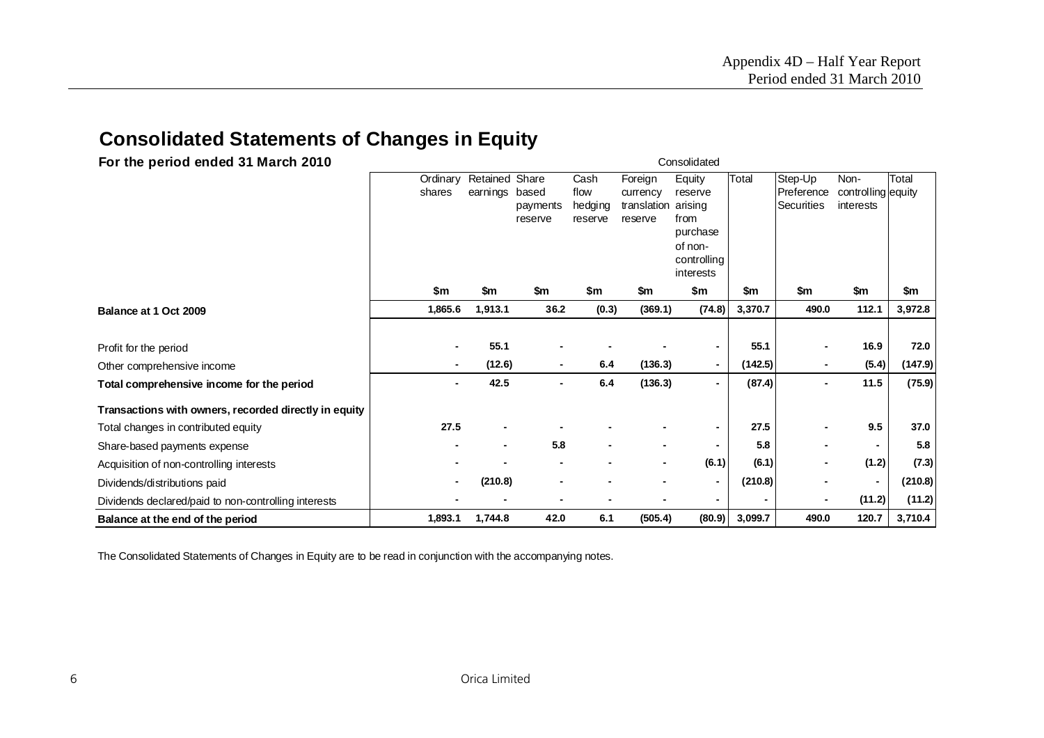# **Consolidated Statements of Changes in Equity**

| For the period ended 31 March 2010                    |                    |                            |                              |                                    |                                               | Consolidated                                                                            |         |                                            |                                         |         |
|-------------------------------------------------------|--------------------|----------------------------|------------------------------|------------------------------------|-----------------------------------------------|-----------------------------------------------------------------------------------------|---------|--------------------------------------------|-----------------------------------------|---------|
|                                                       | Ordinary<br>shares | Retained Share<br>earnings | based<br>payments<br>reserve | Cash<br>flow<br>hedging<br>reserve | Foreign<br>currency<br>translation<br>reserve | Equity<br>reserve<br>arising<br>from<br>purchase<br>of non-<br>controlling<br>interests | Total   | Step-Up<br>Preference<br><b>Securities</b> | Non-<br>controlling equity<br>interests | Total   |
|                                                       | \$m                | \$m                        | \$m                          | \$m                                | \$m                                           | \$m                                                                                     | \$m     | \$m                                        | \$m                                     | \$m     |
| Balance at 1 Oct 2009                                 | 1,865.6            | 1,913.1                    | 36.2                         | (0.3)                              | (369.1)                                       | (74.8)                                                                                  | 3,370.7 | 490.0                                      | 112.1                                   | 3,972.8 |
|                                                       |                    |                            |                              |                                    |                                               |                                                                                         |         |                                            |                                         |         |
| Profit for the period                                 |                    | 55.1                       |                              |                                    |                                               |                                                                                         | 55.1    |                                            | 16.9                                    | 72.0    |
| Other comprehensive income                            | $\blacksquare$     | (12.6)                     | $\blacksquare$               | 6.4                                | (136.3)                                       | ۰.                                                                                      | (142.5) |                                            | (5.4)                                   | (147.9) |
| Total comprehensive income for the period             |                    | 42.5                       |                              | 6.4                                | (136.3)                                       | $\overline{\phantom{0}}$                                                                | (87.4)  |                                            | 11.5                                    | (75.9)  |
| Transactions with owners, recorded directly in equity |                    |                            |                              |                                    |                                               |                                                                                         |         |                                            |                                         |         |
| Total changes in contributed equity                   | 27.5               | $\blacksquare$             |                              |                                    |                                               |                                                                                         | 27.5    |                                            | 9.5                                     | 37.0    |
| Share-based payments expense                          |                    | ۰                          | 5.8                          |                                    |                                               |                                                                                         | 5.8     |                                            | ٠                                       | 5.8     |
| Acquisition of non-controlling interests              |                    |                            |                              |                                    | $\overline{\phantom{a}}$                      | (6.1)                                                                                   | (6.1)   |                                            | (1.2)                                   | (7.3)   |
| Dividends/distributions paid                          |                    | (210.8)                    |                              |                                    |                                               | ٠                                                                                       | (210.8) |                                            | ٠                                       | (210.8) |
| Dividends declared/paid to non-controlling interests  |                    |                            |                              |                                    |                                               |                                                                                         |         |                                            | (11.2)                                  | (11.2)  |
| Balance at the end of the period                      | 1,893.1            | 1,744.8                    | 42.0                         | 6.1                                | (505.4)                                       | (80.9)                                                                                  | 3,099.7 | 490.0                                      | 120.7                                   | 3,710.4 |

The Consolidated Statements of Changes in Equity are to be read in conjunction with the accompanying notes.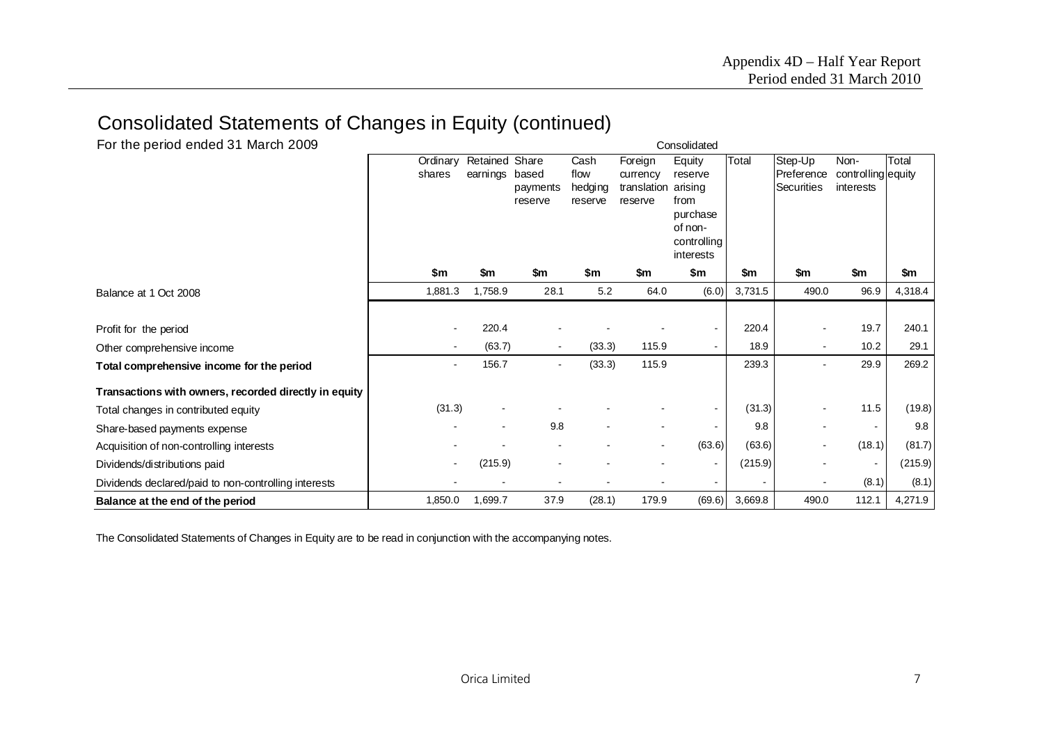# Consolidated Statements of Changes in Equity (continued)

| For the period ended 31 March 2009                    |                |                |          |         |                          | Consolidated        |         |                   |                    |         |
|-------------------------------------------------------|----------------|----------------|----------|---------|--------------------------|---------------------|---------|-------------------|--------------------|---------|
|                                                       | Ordinary       | Retained Share |          | Cash    | Foreign                  | Equity              | Total   | Step-Up           | Non-               | Total   |
|                                                       | shares         | earnings       | based    | flow    | currency                 | reserve             |         | Preference        | controlling equity |         |
|                                                       |                |                | payments | hedging | translation              | arising             |         | <b>Securities</b> | interests          |         |
|                                                       |                |                | reserve  | reserve | reserve                  | from                |         |                   |                    |         |
|                                                       |                |                |          |         |                          | purchase<br>of non- |         |                   |                    |         |
|                                                       |                |                |          |         |                          | controlling         |         |                   |                    |         |
|                                                       |                |                |          |         |                          | interests           |         |                   |                    |         |
|                                                       | \$m            | \$m            | \$m      | \$m     | \$m                      | \$m                 | \$m     | \$m               | \$m                | \$m     |
| Balance at 1 Oct 2008                                 | 1,881.3        | 1,758.9        | 28.1     | 5.2     | 64.0                     | (6.0)               | 3,731.5 | 490.0             | 96.9               | 4,318.4 |
|                                                       |                |                |          |         |                          |                     |         |                   |                    |         |
| Profit for the period                                 |                | 220.4          |          |         |                          | $\blacksquare$      | 220.4   |                   | 19.7               | 240.1   |
| Other comprehensive income                            | $\blacksquare$ | (63.7)         |          | (33.3)  | 115.9                    | $\sim$              | 18.9    |                   | 10.2               | 29.1    |
| Total comprehensive income for the period             |                | 156.7          |          | (33.3)  | 115.9                    |                     | 239.3   |                   | 29.9               | 269.2   |
| Transactions with owners, recorded directly in equity |                |                |          |         |                          |                     |         |                   |                    |         |
| Total changes in contributed equity                   | (31.3)         |                |          |         |                          | $\blacksquare$      | (31.3)  |                   | 11.5               | (19.8)  |
| Share-based payments expense                          |                |                | 9.8      |         |                          | $\blacksquare$      | 9.8     |                   |                    | 9.8     |
| Acquisition of non-controlling interests              |                |                |          |         | $\overline{\phantom{a}}$ | (63.6)              | (63.6)  |                   | (18.1)             | (81.7)  |
| Dividends/distributions paid                          |                | (215.9)        |          |         |                          | $\blacksquare$      | (215.9) |                   |                    | (215.9) |
| Dividends declared/paid to non-controlling interests  |                |                |          |         |                          |                     |         |                   | (8.1)              | (8.1)   |
| Balance at the end of the period                      | 1,850.0        | 1,699.7        | 37.9     | (28.1)  | 179.9                    | (69.6)              | 3,669.8 | 490.0             | 112.1              | 4,271.9 |

The Consolidated Statements of Changes in Equity are to be read in conjunction with the accompanying notes.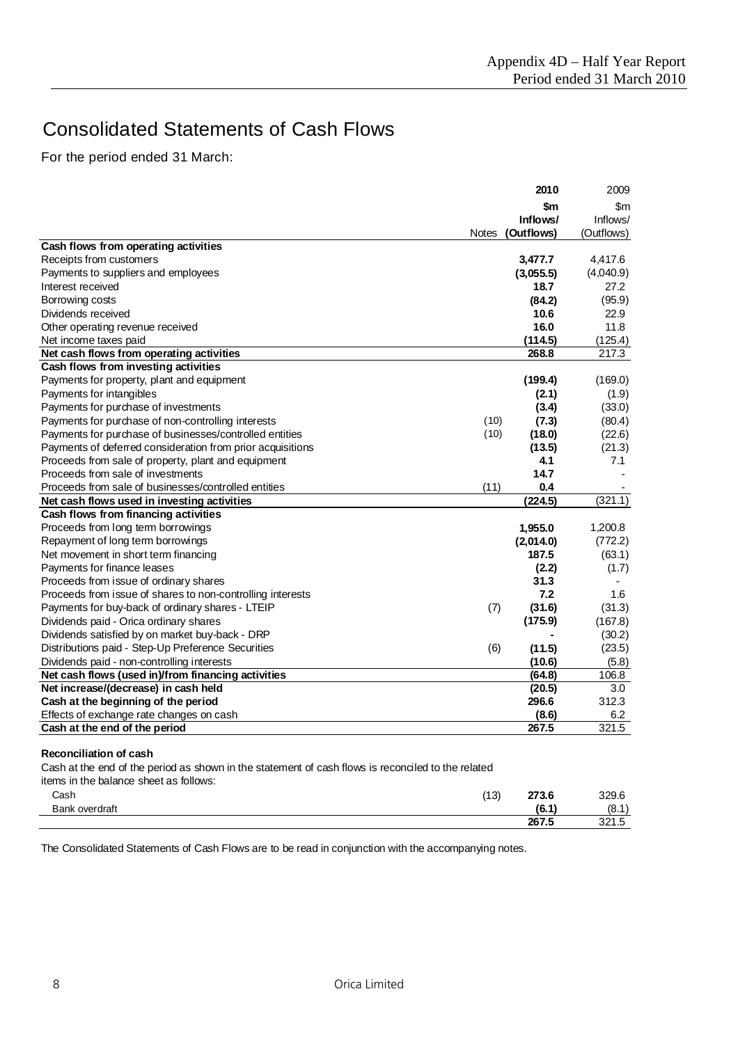# Consolidated Statements of Cash Flows

For the period ended 31 March:

|                                                            |              | 2010       | 2009          |
|------------------------------------------------------------|--------------|------------|---------------|
|                                                            |              | \$m        | $\mathsf{Sm}$ |
|                                                            |              | Inflows/   | Inflows/      |
|                                                            | <b>Notes</b> | (Outflows) | (Outflows)    |
| Cash flows from operating activities                       |              |            |               |
| Receipts from customers                                    |              | 3,477.7    | 4,417.6       |
| Payments to suppliers and employees                        |              | (3,055.5)  | (4,040.9)     |
| Interest received                                          |              | 18.7       | 27.2          |
| Borrowing costs                                            |              | (84.2)     | (95.9)        |
| Dividends received                                         |              | 10.6       | 22.9          |
| Other operating revenue received                           |              | 16.0       | 11.8          |
| Net income taxes paid                                      |              | (114.5)    | (125.4)       |
| Net cash flows from operating activities                   |              | 268.8      | 217.3         |
| Cash flows from investing activities                       |              |            |               |
| Payments for property, plant and equipment                 |              | (199.4)    | (169.0)       |
| Payments for intangibles                                   |              | (2.1)      | (1.9)         |
| Payments for purchase of investments                       |              | (3.4)      | (33.0)        |
| Payments for purchase of non-controlling interests         | (10)         | (7.3)      | (80.4)        |
| Payments for purchase of businesses/controlled entities    | (10)         | (18.0)     | (22.6)        |
| Payments of deferred consideration from prior acquisitions |              | (13.5)     | (21.3)        |
| Proceeds from sale of property, plant and equipment        |              | 4.1        | 7.1           |
| Proceeds from sale of investments                          |              | 14.7       |               |
| Proceeds from sale of businesses/controlled entities       | (11)         | 0.4        |               |
| Net cash flows used in investing activities                |              | (224.5)    | (321.1)       |
| Cash flows from financing activities                       |              |            |               |
| Proceeds from long term borrowings                         |              | 1,955.0    | 1,200.8       |
| Repayment of long term borrowings                          |              | (2,014.0)  | (772.2)       |
| Net movement in short term financing                       |              | 187.5      | (63.1)        |
| Payments for finance leases                                |              | (2.2)      | (1.7)         |
| Proceeds from issue of ordinary shares                     |              | 31.3       |               |
| Proceeds from issue of shares to non-controlling interests |              | 7.2        | 1.6           |
| Payments for buy-back of ordinary shares - LTEIP           | (7)          | (31.6)     | (31.3)        |
| Dividends paid - Orica ordinary shares                     |              | (175.9)    | (167.8)       |
| Dividends satisfied by on market buy-back - DRP            |              |            | (30.2)        |
| Distributions paid - Step-Up Preference Securities         | (6)          | (11.5)     | (23.5)        |
| Dividends paid - non-controlling interests                 |              | (10.6)     | (5.8)         |
| Net cash flows (used in)/from financing activities         |              | (64.8)     | 106.8         |
| Net increase/(decrease) in cash held                       |              | (20.5)     | 3.0           |
| Cash at the beginning of the period                        |              | 296.6      | 312.3         |
| Effects of exchange rate changes on cash                   |              | (8.6)      | 6.2           |
| Cash at the end of the period                              |              | 267.5      | 321.5         |

#### **Reconciliation of cash**

Cash at the end of the period as shown in the statement of cash flows is reconciled to the related

items in the balance sheet as follows:

| Cash           | (10)<br>یں ا | 272 F<br>21 J.V | 329.6            |
|----------------|--------------|-----------------|------------------|
| Bank overdraft |              | 10 A<br>. .     | (8.1)            |
|                |              | 267.5           | 221 E<br>ں. ا ےں |

The Consolidated Statements of Cash Flows are to be read in conjunction with the accompanying notes.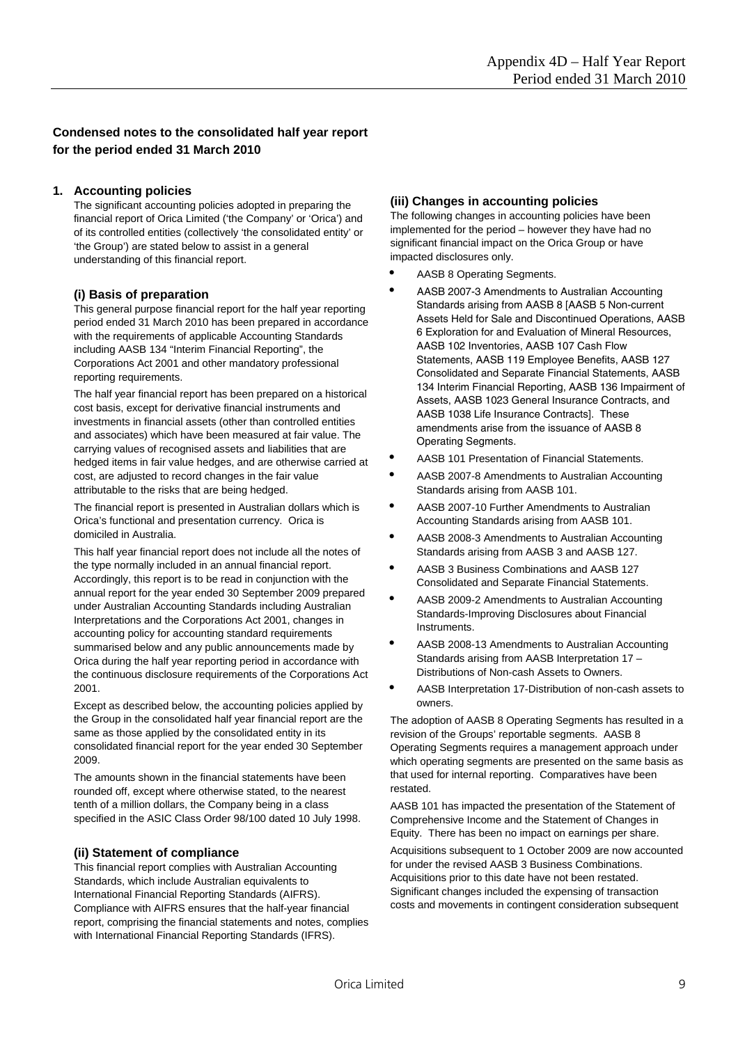# **Condensed notes to the consolidated half year report for the period ended 31 March 2010**

## **1. Accounting policies**

The significant accounting policies adopted in preparing the financial report of Orica Limited ('the Company' or 'Orica') and of its controlled entities (collectively 'the consolidated entity' or 'the Group') are stated below to assist in a general understanding of this financial report.

## **(i) Basis of preparation**

This general purpose financial report for the half year reporting period ended 31 March 2010 has been prepared in accordance with the requirements of applicable Accounting Standards including AASB 134 "Interim Financial Reporting", the Corporations Act 2001 and other mandatory professional reporting requirements.

The half year financial report has been prepared on a historical cost basis, except for derivative financial instruments and investments in financial assets (other than controlled entities and associates) which have been measured at fair value. The carrying values of recognised assets and liabilities that are hedged items in fair value hedges, and are otherwise carried at cost, are adjusted to record changes in the fair value attributable to the risks that are being hedged.

The financial report is presented in Australian dollars which is Orica's functional and presentation currency. Orica is domiciled in Australia.

This half year financial report does not include all the notes of the type normally included in an annual financial report. Accordingly, this report is to be read in conjunction with the annual report for the year ended 30 September 2009 prepared under Australian Accounting Standards including Australian Interpretations and the Corporations Act 2001, changes in accounting policy for accounting standard requirements summarised below and any public announcements made by Orica during the half year reporting period in accordance with the continuous disclosure requirements of the Corporations Act 2001.

Except as described below, the accounting policies applied by the Group in the consolidated half year financial report are the same as those applied by the consolidated entity in its consolidated financial report for the year ended 30 September 2009.

The amounts shown in the financial statements have been rounded off, except where otherwise stated, to the nearest tenth of a million dollars, the Company being in a class specified in the ASIC Class Order 98/100 dated 10 July 1998.

## **(ii) Statement of compliance**

This financial report complies with Australian Accounting Standards, which include Australian equivalents to International Financial Reporting Standards (AIFRS). Compliance with AIFRS ensures that the half-year financial report, comprising the financial statements and notes, complies with International Financial Reporting Standards (IFRS).

## **(iii) Changes in accounting policies**

The following changes in accounting policies have been implemented for the period – however they have had no significant financial impact on the Orica Group or have impacted disclosures only.

- AASB 8 Operating Segments.
- AASB 2007-3 Amendments to Australian Accounting Standards arising from AASB 8 [AASB 5 Non-current Assets Held for Sale and Discontinued Operations, AASB 6 Exploration for and Evaluation of Mineral Resources, AASB 102 Inventories, AASB 107 Cash Flow Statements, AASB 119 Employee Benefits, AASB 127 Consolidated and Separate Financial Statements, AASB 134 Interim Financial Reporting, AASB 136 Impairment of Assets, AASB 1023 General Insurance Contracts, and AASB 1038 Life Insurance Contracts]. These amendments arise from the issuance of AASB 8 Operating Segments.
- AASB 101 Presentation of Financial Statements.
- AASB 2007-8 Amendments to Australian Accounting Standards arising from AASB 101.
- AASB 2007-10 Further Amendments to Australian Accounting Standards arising from AASB 101.
- AASB 2008-3 Amendments to Australian Accounting Standards arising from AASB 3 and AASB 127.
- AASB 3 Business Combinations and AASB 127 Consolidated and Separate Financial Statements.
- AASB 2009-2 Amendments to Australian Accounting Standards-Improving Disclosures about Financial Instruments.
- AASB 2008-13 Amendments to Australian Accounting Standards arising from AASB Interpretation 17 – Distributions of Non-cash Assets to Owners.
- AASB Interpretation 17-Distribution of non-cash assets to owners.

The adoption of AASB 8 Operating Segments has resulted in a revision of the Groups' reportable segments. AASB 8 Operating Segments requires a management approach under which operating segments are presented on the same basis as that used for internal reporting. Comparatives have been restated.

AASB 101 has impacted the presentation of the Statement of Comprehensive Income and the Statement of Changes in Equity. There has been no impact on earnings per share.

Acquisitions subsequent to 1 October 2009 are now accounted for under the revised AASB 3 Business Combinations. Acquisitions prior to this date have not been restated. Significant changes included the expensing of transaction costs and movements in contingent consideration subsequent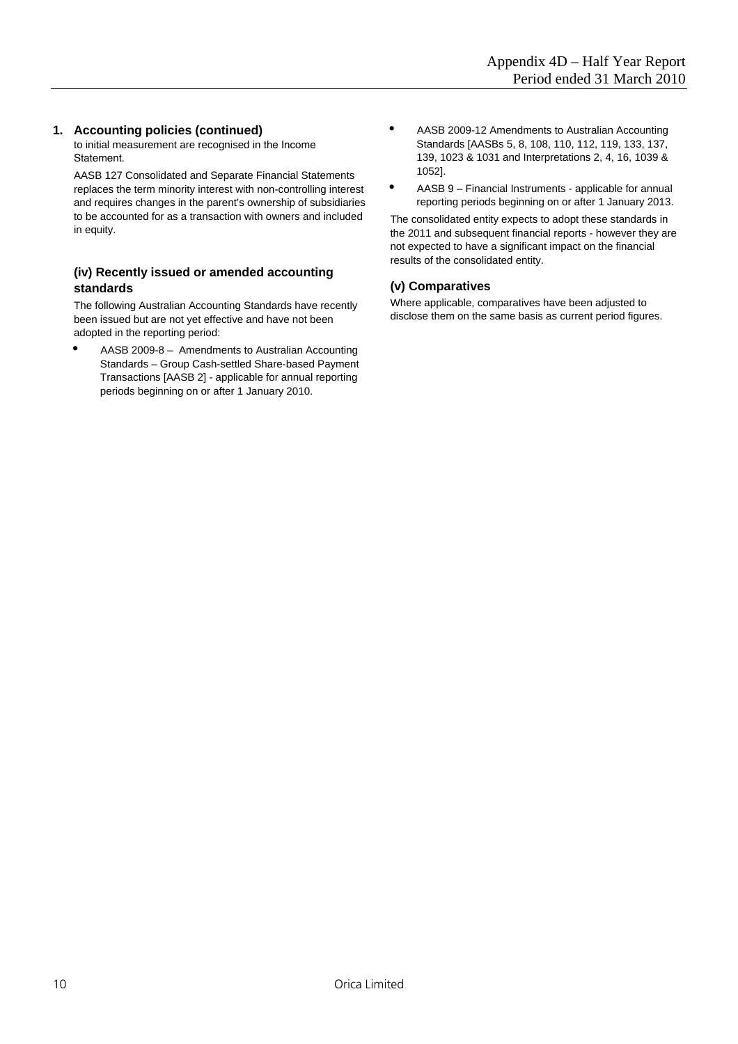### **1. Accounting policies (continued)**

to initial measurement are recognised in the Income Statement.

AASB 127 Consolidated and Separate Financial Statements replaces the term minority interest with non-controlling interest and requires changes in the parent's ownership of subsidiaries to be accounted for as a transaction with owners and included in equity.

## **(iv) Recently issued or amended accounting standards**

The following Australian Accounting Standards have recently been issued but are not yet effective and have not been adopted in the reporting period:

 AASB 2009-8 – Amendments to Australian Accounting Standards – Group Cash-settled Share-based Payment Transactions [AASB 2] - applicable for annual reporting periods beginning on or after 1 January 2010.

- AASB 2009-12 Amendments to Australian Accounting Standards [AASBs 5, 8, 108, 110, 112, 119, 133, 137, 139, 1023 & 1031 and Interpretations 2, 4, 16, 1039 & 1052].
- AASB 9 Financial Instruments applicable for annual reporting periods beginning on or after 1 January 2013.

The consolidated entity expects to adopt these standards in the 2011 and subsequent financial reports - however they are not expected to have a significant impact on the financial results of the consolidated entity.

## **(v) Comparatives**

Where applicable, comparatives have been adjusted to disclose them on the same basis as current period figures.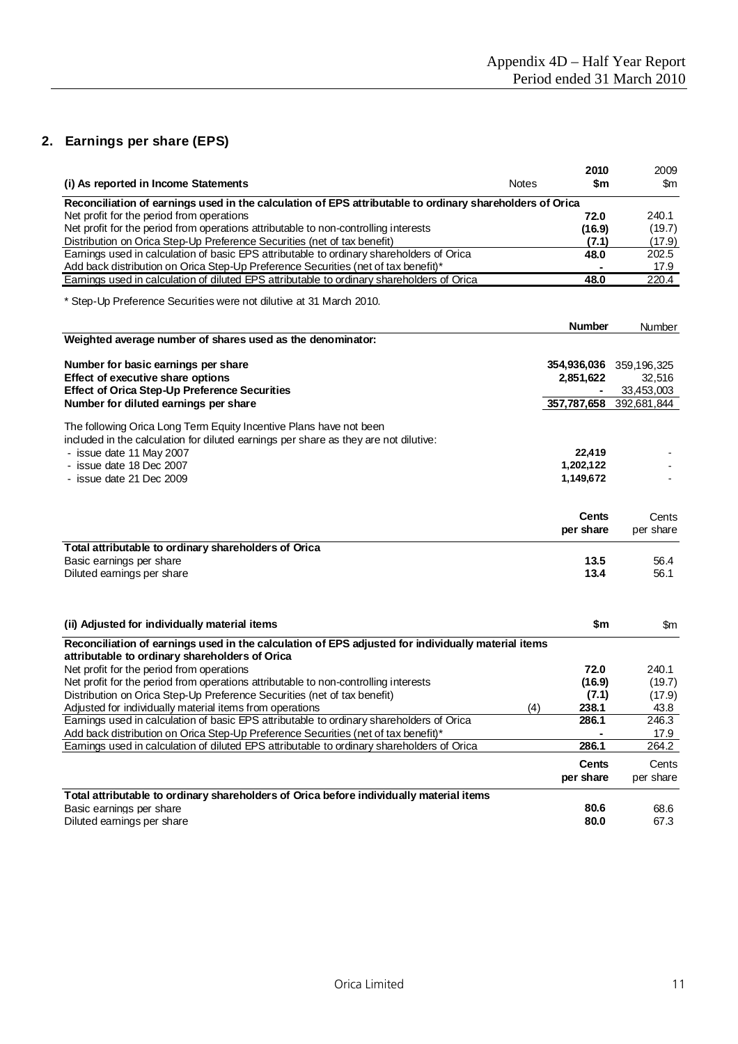# **2. Earnings per share (EPS)**

|                                                                                                                                                      |              | 2010                    | 2009               |
|------------------------------------------------------------------------------------------------------------------------------------------------------|--------------|-------------------------|--------------------|
| (i) As reported in Income Statements                                                                                                                 | <b>Notes</b> | \$m                     | $\mathsf{Sm}$      |
| Reconciliation of earnings used in the calculation of EPS attributable to ordinary shareholders of Orica                                             |              |                         |                    |
| Net profit for the period from operations                                                                                                            |              | 72.0                    | 240.1              |
| Net profit for the period from operations attributable to non-controlling interests                                                                  |              | (16.9)                  | (19.7)             |
| Distribution on Orica Step-Up Preference Securities (net of tax benefit)                                                                             |              | (7.1)                   | (17.9)             |
| Earnings used in calculation of basic EPS attributable to ordinary shareholders of Orica                                                             |              | 48.0                    | 202.5              |
| Add back distribution on Orica Step-Up Preference Securities (net of tax benefit)*                                                                   |              |                         | 17.9               |
| Earnings used in calculation of diluted EPS attributable to ordinary shareholders of Orica                                                           |              | 48.0                    | 220.4              |
|                                                                                                                                                      |              |                         |                    |
| * Step-Up Preference Securities were not dilutive at 31 March 2010.                                                                                  |              |                         |                    |
|                                                                                                                                                      |              | <b>Number</b>           | Number             |
| Weighted average number of shares used as the denominator:                                                                                           |              |                         |                    |
|                                                                                                                                                      |              |                         |                    |
| Number for basic earnings per share                                                                                                                  |              | 354,936,036             | 359,196,325        |
| Effect of executive share options                                                                                                                    |              | 2,851,622               | 32,516             |
| <b>Effect of Orica Step-Up Preference Securities</b>                                                                                                 |              |                         | 33,453,003         |
| Number for diluted earnings per share                                                                                                                |              | 357,787,658 392,681,844 |                    |
|                                                                                                                                                      |              |                         |                    |
| The following Orica Long Term Equity Incentive Plans have not been                                                                                   |              |                         |                    |
| induded in the calculation for diluted earnings per share as they are not dilutive:                                                                  |              |                         |                    |
| - issue date 11 May 2007                                                                                                                             |              | 22,419                  |                    |
| - issue date 18 Dec 2007                                                                                                                             |              | 1,202,122               |                    |
| - issue date 21 Dec 2009                                                                                                                             |              | 1,149,672               |                    |
|                                                                                                                                                      |              |                         |                    |
|                                                                                                                                                      |              | <b>Cents</b>            |                    |
|                                                                                                                                                      |              | per share               | Cents<br>per share |
|                                                                                                                                                      |              |                         |                    |
| Total attributable to ordinary shareholders of Orica                                                                                                 |              |                         |                    |
| Basic earnings per share                                                                                                                             |              | 13.5                    | 56.4               |
| Diluted earnings per share                                                                                                                           |              | 13.4                    | 56.1               |
|                                                                                                                                                      |              |                         |                    |
|                                                                                                                                                      |              |                         |                    |
| (ii) Adjusted for individually material items                                                                                                        |              | \$m                     | $\mathsf{Sm}$      |
|                                                                                                                                                      |              |                         |                    |
| Reconciliation of earnings used in the calculation of EPS adjusted for individually material items                                                   |              |                         |                    |
| attributable to ordinary shareholders of Orica                                                                                                       |              |                         |                    |
| Net profit for the period from operations                                                                                                            |              | 72.0                    | 240.1              |
| Net profit for the period from operations attributable to non-controlling interests                                                                  |              | (16.9)                  | (19.7)             |
| Distribution on Orica Step-Up Preference Securities (net of tax benefit)                                                                             |              | (7.1)                   | (17.9)             |
| Adjusted for individually material items from operations<br>Earnings used in calculation of basic EPS attributable to ordinary shareholders of Orica | (4)          | 238.1<br>286.1          | 43.8<br>246.3      |
| Add back distribution on Orica Step-Up Preference Securities (net of tax benefit)*                                                                   |              |                         |                    |
| Earnings used in calculation of diluted EPS attributable to ordinary shareholders of Orica                                                           |              | 286.1                   | 17.9<br>264.2      |
|                                                                                                                                                      |              |                         |                    |
|                                                                                                                                                      |              | <b>Cents</b>            | Cents              |
|                                                                                                                                                      |              | per share               | per share          |
| Total attributable to ordinary shareholders of Orica before individually material items                                                              |              |                         |                    |
| Basic earnings per share                                                                                                                             |              | 80.6                    | 68.6               |
| Diluted earnings per share                                                                                                                           |              | 80.0                    | 67.3               |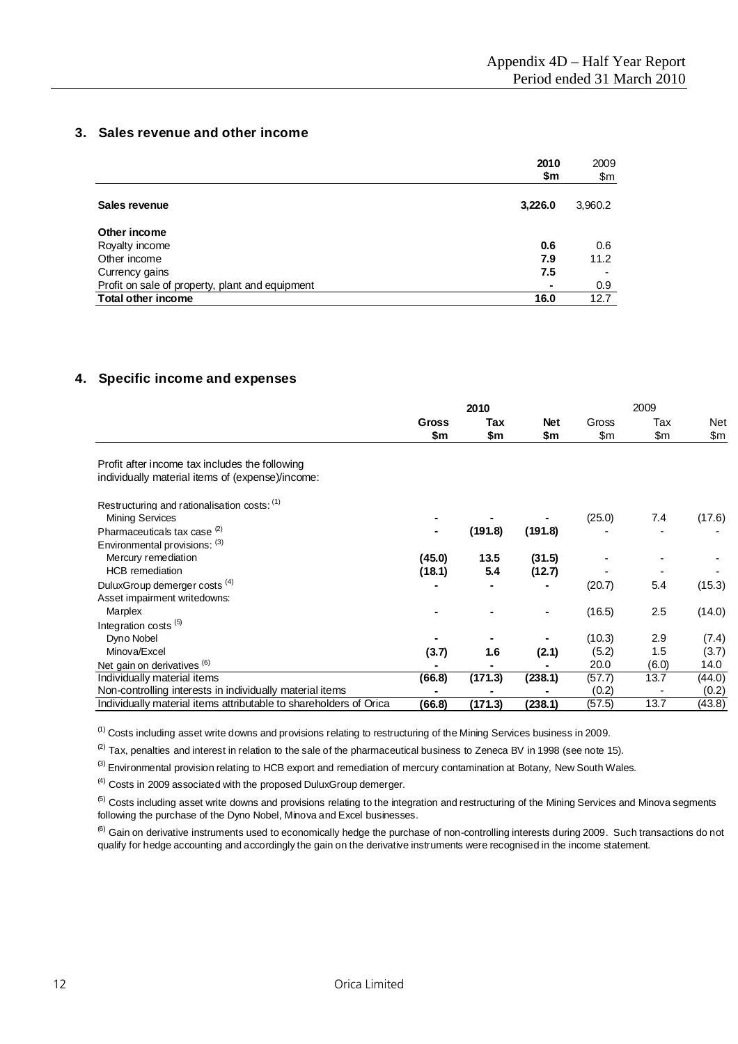# **3. Sales revenue and other income**

|                                                 | 2010<br>\$m    | 2009<br>\$m |
|-------------------------------------------------|----------------|-------------|
| Sales revenue                                   | 3,226.0        | 3,960.2     |
| Other income                                    |                |             |
| Royalty income                                  | 0.6            | 0.6         |
| Other income                                    | 7.9            | 11.2        |
| Currency gains                                  | 7.5            |             |
| Profit on sale of property, plant and equipment | $\blacksquare$ | 0.9         |
| <b>Total other income</b>                       | 16.0           | 12.7        |

## **4. Specific income and expenses**

|                                                                   |              | 2010    |                | 2009   |       |               |  |  |
|-------------------------------------------------------------------|--------------|---------|----------------|--------|-------|---------------|--|--|
|                                                                   | <b>Gross</b> | Tax     | <b>Net</b>     | Gross  | Tax   | Net           |  |  |
|                                                                   | \$m          | \$m     | \$m            | \$m    | \$m   | $\mathsf{Sm}$ |  |  |
| Profit after income tax includes the following                    |              |         |                |        |       |               |  |  |
| individually material items of (expense)/income:                  |              |         |                |        |       |               |  |  |
| Restructuring and rationalisation costs: (1)                      |              |         |                |        |       |               |  |  |
| <b>Mining Services</b>                                            |              |         |                | (25.0) | 7.4   | (17.6)        |  |  |
| Pharmaceuticals tax case <sup>(2)</sup>                           |              | (191.8) | (191.8)        |        |       |               |  |  |
| Environmental provisions: (3)                                     |              |         |                |        |       |               |  |  |
| Mercury remediation                                               | (45.0)       | 13.5    | (31.5)         |        |       |               |  |  |
| <b>HCB</b> remediation                                            | (18.1)       | 5.4     | (12.7)         |        |       |               |  |  |
| DuluxGroup demerger costs (4)                                     |              |         | $\blacksquare$ | (20.7) | 5.4   | (15.3)        |  |  |
| Asset impairment writedowns:                                      |              |         |                |        |       |               |  |  |
| Marplex                                                           |              |         |                | (16.5) | 2.5   | (14.0)        |  |  |
| Integration costs <sup>(5)</sup>                                  |              |         |                |        |       |               |  |  |
| Dyno Nobel                                                        |              |         |                | (10.3) | 2.9   | (7.4)         |  |  |
| Minova/Excel                                                      | (3.7)        | 1.6     | (2.1)          | (5.2)  | 1.5   | (3.7)         |  |  |
| Net gain on derivatives (6)                                       |              |         |                | 20.0   | (6.0) | 14.0          |  |  |
| Individually material items                                       | (66.8)       | (171.3) | (238.1)        | (57.7) | 13.7  | (44.0)        |  |  |
| Non-controlling interests in individually material items          |              |         |                | (0.2)  |       | (0.2)         |  |  |
| Individually material items attributable to shareholders of Orica | (66.8)       | (171.3) | (238.1)        | (57.5) | 13.7  | (43.8)        |  |  |

<sup>(1)</sup> Costs including asset write downs and provisions relating to restructuring of the Mining Services business in 2009.

 $(2)$  Tax, penalties and interest in relation to the sale of the pharmaceutical business to Zeneca BV in 1998 (see note 15).

 $^{(3)}$  Environmental provision relating to HCB export and remediation of mercury contamination at Botany, New South Wales.

 $<sup>(4)</sup>$  Costs in 2009 associated with the proposed DuluxGroup demerger.</sup>

<sup>(5)</sup> Costs including asset write downs and provisions relating to the integration and restructuring of the Mining Services and Minova segments following the purchase of the Dyno Nobel, Minova and Excel businesses.

<sup>(6)</sup> Gain on derivative instruments used to economically hedge the purchase of non-controlling interests during 2009. Such transactions do not qualify for hedge accounting and accordingly the gain on the derivative instruments were recognised in the income statement.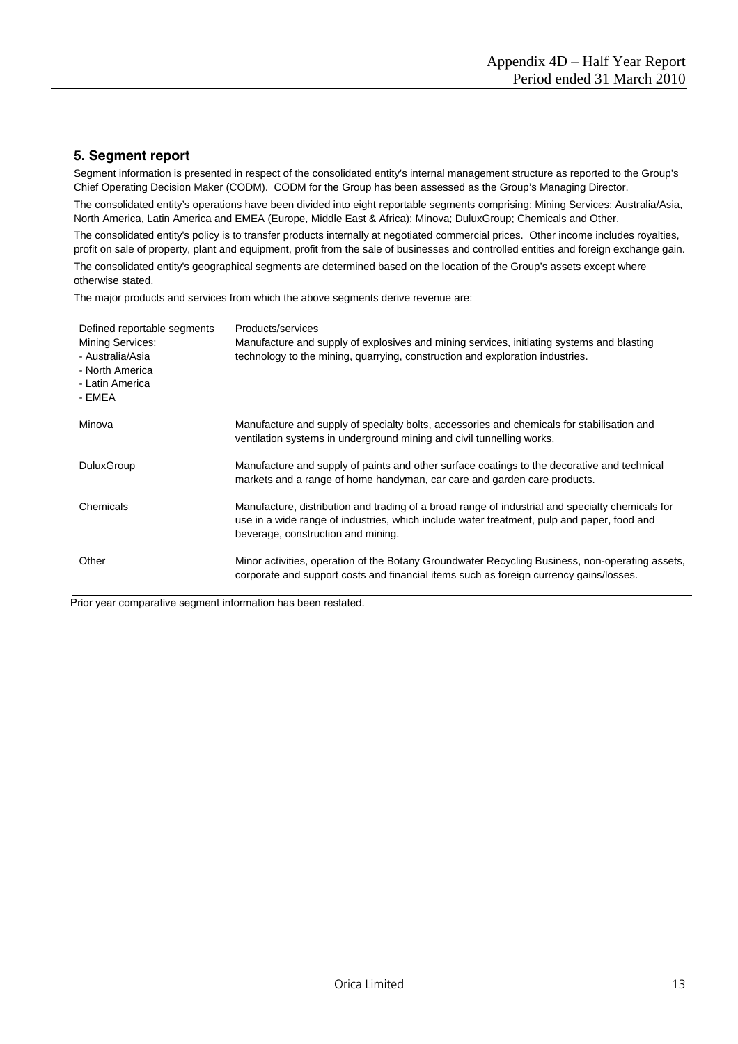# **5. Segment report**

Segment information is presented in respect of the consolidated entity's internal management structure as reported to the Group's Chief Operating Decision Maker (CODM). CODM for the Group has been assessed as the Group's Managing Director.

The consolidated entity's operations have been divided into eight reportable segments comprising: Mining Services: Australia/Asia, North America, Latin America and EMEA (Europe, Middle East & Africa); Minova; DuluxGroup; Chemicals and Other.

The consolidated entity's policy is to transfer products internally at negotiated commercial prices. Other income includes royalties, profit on sale of property, plant and equipment, profit from the sale of businesses and controlled entities and foreign exchange gain.

The consolidated entity's geographical segments are determined based on the location of the Group's assets except where otherwise stated.

The major products and services from which the above segments derive revenue are:

| Defined reportable segments                                                          | Products/services                                                                                                                                                                                                                    |
|--------------------------------------------------------------------------------------|--------------------------------------------------------------------------------------------------------------------------------------------------------------------------------------------------------------------------------------|
| Mining Services:<br>- Australia/Asia<br>- North America<br>- Latin America<br>- EMEA | Manufacture and supply of explosives and mining services, initiating systems and blasting<br>technology to the mining, quarrying, construction and exploration industries.                                                           |
| Minova                                                                               | Manufacture and supply of specialty bolts, accessories and chemicals for stabilisation and<br>ventilation systems in underground mining and civil tunnelling works.                                                                  |
| <b>DuluxGroup</b>                                                                    | Manufacture and supply of paints and other surface coatings to the decorative and technical<br>markets and a range of home handyman, car care and garden care products.                                                              |
| Chemicals                                                                            | Manufacture, distribution and trading of a broad range of industrial and specialty chemicals for<br>use in a wide range of industries, which include water treatment, pulp and paper, food and<br>beverage, construction and mining. |
| Other                                                                                | Minor activities, operation of the Botany Groundwater Recycling Business, non-operating assets,<br>corporate and support costs and financial items such as foreign currency gains/losses.                                            |

Prior year comparative segment information has been restated.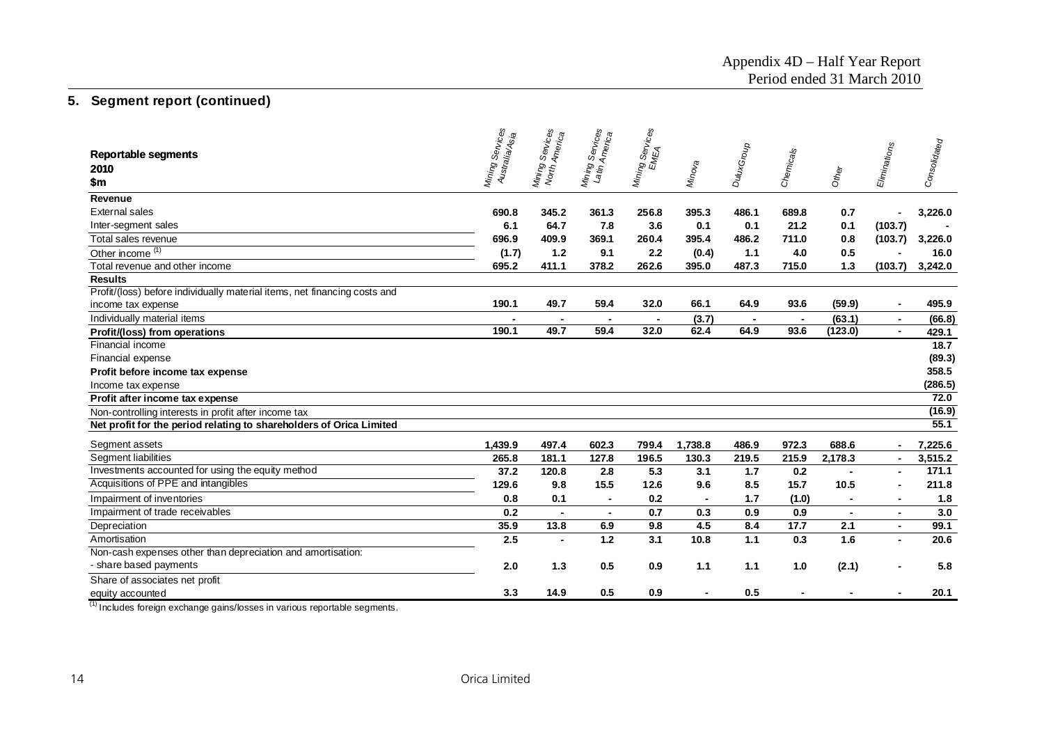| 2010                                                                                                                                                                                   | Eliminations   |              |
|----------------------------------------------------------------------------------------------------------------------------------------------------------------------------------------|----------------|--------------|
| Mining Services<br>EMEA<br>Mining Services<br>Mining Services<br>Latin Americes<br>Australia/Asia<br>DuluxGroup<br>Chemicals<br>Mino <sub>va</sub><br>Mining<br>Nontr.<br>Other<br>\$m |                | Consolidated |
| Revenue                                                                                                                                                                                |                |              |
| 345.2<br>361.3<br>256.8<br>395.3<br>486.1<br>689.8<br><b>External sales</b><br>690.8<br>0.7                                                                                            |                | 3,226.0      |
| 64.7<br>7.8<br>3.6<br>Inter-segment sales<br>6.1<br>0.1<br>0.1<br>21.2<br>0.1                                                                                                          | (103.7)        |              |
| 696.9<br>409.9<br>369.1<br>260.4<br>395.4<br>486.2<br>711.0<br>0.8<br>Total sales revenue                                                                                              | (103.7)        | 3,226.0      |
| Other income <sup>(1)</sup><br>(1.7)<br>1.2<br>9.1<br>2.2<br>(0.4)<br>1.1<br>4.0<br>0.5                                                                                                |                | 16.0         |
| 695.2<br>411.1<br>378.2<br>262.6<br>715.0<br>1.3<br>395.0<br>487.3<br>Total revenue and other income                                                                                   | (103.7)        | 3,242.0      |
| <b>Results</b>                                                                                                                                                                         |                |              |
| Profit/(loss) before individually material items, net financing costs and                                                                                                              |                |              |
| 190.1<br>49.7<br>59.4<br>32.0<br>66.1<br>64.9<br>93.6<br>(59.9)<br>income tax expense                                                                                                  |                | 495.9        |
| (63.1)<br>Individually material items<br>(3.7)                                                                                                                                         | $\blacksquare$ | (66.8)       |
| 59.4<br>62.4<br>64.9<br>190.1<br>49.7<br>32.0<br>93.6<br>(123.0)<br>Profit/(loss) from operations                                                                                      | $\blacksquare$ | 429.1        |
| Financial income                                                                                                                                                                       |                | 18.7         |
| Financial expense                                                                                                                                                                      |                | (89.3)       |
| Profit before income tax expense                                                                                                                                                       |                | 358.5        |
| Income tax expense                                                                                                                                                                     |                | (286.5)      |
| Profit after income tax expense                                                                                                                                                        |                | 72.0         |
| Non-controlling interests in profit after income tax                                                                                                                                   |                | (16.9)       |
| Net profit for the period relating to shareholders of Orica Limited                                                                                                                    |                | 55.1         |
| 1,439.9<br>497.4<br>602.3<br>688.6<br>799.4<br>1,738.8<br>486.9<br>972.3<br>Segment assets                                                                                             | $\blacksquare$ | 7,225.6      |
| Segment liabilities<br>181.1<br>127.8<br>196.5<br>130.3<br>219.5<br>215.9<br>2,178.3<br>265.8                                                                                          | $\blacksquare$ | 3,515.2      |
| Investments accounted for using the equity method<br>2.8<br>5.3<br>37.2<br>120.8<br>3.1<br>1.7<br>0.2                                                                                  |                | 171.1        |
| Acquisitions of PPE and intangibles<br>129.6<br>9.8<br>15.5<br>12.6<br>9.6<br>8.5<br>15.7<br>10.5                                                                                      | $\blacksquare$ | 211.8        |
| Impairment of inventories<br>0.1<br>0.8<br>0.2<br>1.7<br>(1.0)<br>$\blacksquare$<br>$\blacksquare$<br>$\blacksquare$                                                                   | $\blacksquare$ | 1.8          |
| Impairment of trade receivables<br>0.2<br>0.7<br>0.3<br>0.9<br>0.9<br>$\blacksquare$<br>$\blacksquare$<br>$\blacksquare$                                                               | $\blacksquare$ | 3.0          |
| 35.9<br>4.5<br>13.8<br>6.9<br>9.8<br>8.4<br>17.7<br>2.1<br>Depreciation                                                                                                                | $\blacksquare$ | 99.1         |
| 2.5<br>1.2<br>3.1<br>Amortisation<br>10.8<br>1.1<br>0.3<br>1.6                                                                                                                         |                | 20.6         |
| Non-cash expenses other than depreciation and amortisation:                                                                                                                            |                |              |
| - share based payments<br>2.0<br>1.3<br>0.5<br>0.9<br>1.1<br>1.1<br>1.0<br>(2.1)                                                                                                       |                | 5.8          |
| Share of associates net profit                                                                                                                                                         |                |              |
| 3.3<br>14.9<br>0.5<br>0.9<br>0.5<br>equity accounted                                                                                                                                   |                | 20.1         |

 $(1)$  Includes foreign exchange gains/losses in various reportable segments.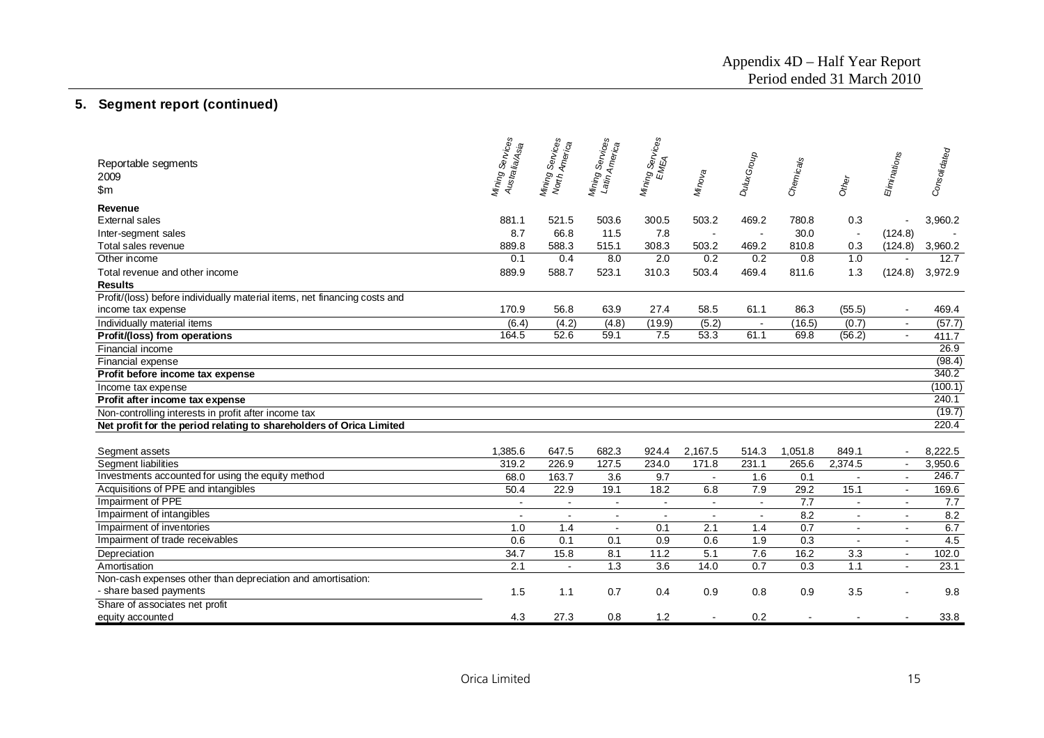|                                                                           | Mining Services<br>Australia/Asia | Mining Services<br>North Americes | Services<br>Mining Services<br>Latin Americes | Mining Services<br>EMEA |                    | DuluxGroup     |           |                          | Eliminations | Consolidated |
|---------------------------------------------------------------------------|-----------------------------------|-----------------------------------|-----------------------------------------------|-------------------------|--------------------|----------------|-----------|--------------------------|--------------|--------------|
| Reportable segments<br>2009                                               |                                   |                                   |                                               |                         |                    |                | Chemicals |                          |              |              |
|                                                                           |                                   |                                   |                                               |                         | Mino <sub>va</sub> |                |           | Other                    |              |              |
| \$m                                                                       |                                   |                                   |                                               |                         |                    |                |           |                          |              |              |
| Revenue                                                                   |                                   |                                   |                                               |                         |                    |                |           |                          |              |              |
| <b>External sales</b>                                                     | 881.1                             | 521.5                             | 503.6                                         | 300.5                   | 503.2              | 469.2          | 780.8     | 0.3                      |              | 3,960.2      |
| Inter-segment sales                                                       | 8.7                               | 66.8                              | 11.5                                          | 7.8                     | $\sim$             |                | 30.0      | $\overline{\phantom{a}}$ | (124.8)      |              |
| Total sales revenue                                                       | 889.8                             | 588.3                             | 515.1                                         | 308.3                   | 503.2              | 469.2          | 810.8     | 0.3                      | (124.8)      | 3,960.2      |
| Other income                                                              | 0.1                               | 0.4                               | 8.0                                           | 2.0                     | 0.2                | 0.2            | 0.8       | 1.0                      | $\sim$       | 12.7         |
| Total revenue and other income                                            | 889.9                             | 588.7                             | 523.1                                         | 310.3                   | 503.4              | 469.4          | 811.6     | 1.3                      | (124.8)      | 3,972.9      |
| <b>Results</b>                                                            |                                   |                                   |                                               |                         |                    |                |           |                          |              |              |
| Profit/(loss) before individually material items, net financing costs and |                                   |                                   |                                               |                         |                    |                |           |                          |              |              |
| income tax expense                                                        | 170.9                             | 56.8                              | 63.9                                          | 27.4                    | 58.5               | 61.1           | 86.3      | (55.5)                   |              | 469.4        |
| Individually material items                                               | (6.4)                             | (4.2)                             | (4.8)                                         | (19.9)                  | (5.2)              |                | (16.5)    | (0.7)                    |              | (57.7)       |
| Profit/(loss) from operations                                             | 164.5                             | 52.6                              | 59.1                                          | 7.5                     | 53.3               | 61.1           | 69.8      | (56.2)                   | $\sim$       | 411.7        |
| Financial income                                                          |                                   |                                   |                                               |                         |                    |                |           |                          |              | 26.9         |
| Financial expense                                                         |                                   |                                   |                                               |                         |                    |                |           |                          |              | (98.4)       |
| Profit before income tax expense                                          |                                   |                                   |                                               |                         |                    |                |           |                          |              | 340.2        |
| Income tax expense                                                        |                                   |                                   |                                               |                         |                    |                |           |                          |              | (100.1)      |
| Profit after income tax expense                                           |                                   |                                   |                                               |                         |                    |                |           |                          |              | 240.1        |
| Non-controlling interests in profit after income tax                      |                                   |                                   |                                               |                         |                    |                |           |                          |              | (19.7)       |
| Net profit for the period relating to shareholders of Orica Limited       |                                   |                                   |                                               |                         |                    |                |           |                          |              | 220.4        |
|                                                                           |                                   |                                   |                                               |                         |                    |                |           |                          |              |              |
| Segment assets                                                            | 1,385.6                           | 647.5                             | 682.3                                         | 924.4                   | 2,167.5            | 514.3          | 1,051.8   | 849.1                    |              | 8,222.5      |
| Segment liabilities                                                       | 319.2                             | 226.9                             | 127.5                                         | 234.0                   | 171.8              | 231.1          | 265.6     | 2,374.5                  | $\sim$       | 3,950.6      |
| Investments accounted for using the equity method                         | 68.0                              | 163.7                             | 3.6                                           | 9.7                     | $\sim$             | 1.6            | 0.1       | $\sim$                   | $\sim$       | 246.7        |
| Acquisitions of PPE and intangibles                                       | 50.4                              | 22.9                              | 19.1                                          | 18.2                    | 6.8                | 7.9            | 29.2      | 15.1                     | $\sim$       | 169.6        |
| Impairment of PPE                                                         | $\sim$                            | $\sim$                            | $\sim$                                        | $\overline{a}$          | $\sim$             | $\sim$         | 7.7       |                          | $\sim$       | 7.7          |
| Impairment of intangibles                                                 | $\overline{a}$                    | $\sim$                            |                                               |                         |                    | $\overline{a}$ | 8.2       | ÷.                       | $\sim$       | 8.2          |
| Impairment of inventories                                                 | 1.0                               | 1.4                               | $\sim$                                        | 0.1                     | 2.1                | 1.4            | 0.7       | $\blacksquare$           | $\sim$       | 6.7          |
| Impairment of trade receivables                                           | 0.6                               | 0.1                               | 0.1                                           | 0.9                     | 0.6                | 1.9            | 0.3       |                          |              | 4.5          |
| Depreciation                                                              | 34.7                              | 15.8                              | 8.1                                           | 11.2                    | 5.1                | 7.6            | 16.2      | 3.3                      |              | 102.0        |
| Amortisation                                                              | 2.1                               | $\blacksquare$                    | 1.3                                           | 3.6                     | 14.0               | 0.7            | 0.3       | 1.1                      | $\sim$       | 23.1         |
| Non-cash expenses other than depreciation and amortisation:               |                                   |                                   |                                               |                         |                    |                |           |                          |              |              |
| - share based payments                                                    | 1.5                               | 1.1                               | 0.7                                           | 0.4                     | 0.9                | 0.8            | 0.9       | 3.5                      |              | 9.8          |
| Share of associates net profit                                            |                                   |                                   |                                               |                         |                    |                |           |                          |              |              |
| equity accounted                                                          | 4.3                               | 27.3                              | 0.8                                           | 1.2                     |                    | 0.2            |           |                          |              | 33.8         |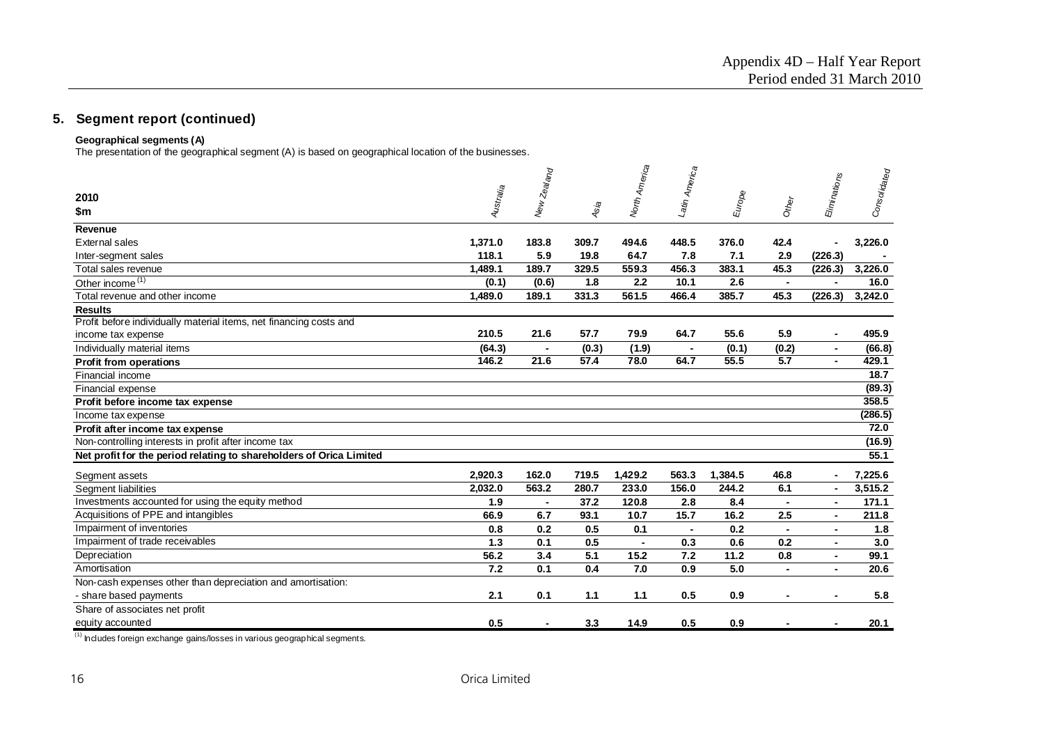## **Geographical segments (A)**

The presentation of the geographical segment (A) is based on geographical location of the businesses.

|                                                                     |           | New Zealand    |       | North America | Latin America |         |                | Eliminations   | Consolidated |
|---------------------------------------------------------------------|-----------|----------------|-------|---------------|---------------|---------|----------------|----------------|--------------|
| 2010                                                                |           |                |       |               |               |         |                |                |              |
| \$m                                                                 | Australia |                | Asia  |               |               | Europe  | Other          |                |              |
|                                                                     |           |                |       |               |               |         |                |                |              |
| Revenue                                                             |           |                |       |               |               |         |                |                |              |
| <b>External sales</b>                                               | 1,371.0   | 183.8          | 309.7 | 494.6         | 448.5         | 376.0   | 42.4           | $\blacksquare$ | 3.226.0      |
| Inter-segment sales                                                 | 118.1     | 5.9            | 19.8  | 64.7          | 7.8           | 7.1     | 2.9            | (226.3)        |              |
| Total sales revenue                                                 | 1,489.1   | 189.7          | 329.5 | 559.3         | 456.3         | 383.1   | 45.3           | (226.3)        | 3,226.0      |
| Other income <sup>(1)</sup>                                         | (0.1)     | (0.6)          | 1.8   | 2.2           | 10.1          | 2.6     | $\blacksquare$ | $\blacksquare$ | 16.0         |
| Total revenue and other income                                      | 1,489.0   | 189.1          | 331.3 | 561.5         | 466.4         | 385.7   | 45.3           | (226.3)        | 3,242.0      |
| <b>Results</b>                                                      |           |                |       |               |               |         |                |                |              |
| Profit before individually material items, net financing costs and  |           |                |       |               |               |         |                |                |              |
| income tax expense                                                  | 210.5     | 21.6           | 57.7  | 79.9          | 64.7          | 55.6    | 5.9            |                | 495.9        |
| Individually material items                                         | (64.3)    |                | (0.3) | (1.9)         |               | (0.1)   | (0.2)          | $\blacksquare$ | (66.8)       |
| <b>Profit from operations</b>                                       | 146.2     | 21.6           | 57.4  | 78.0          | 64.7          | 55.5    | 5.7            |                | 429.1        |
| Financial income                                                    |           |                |       |               |               |         |                |                | 18.7         |
| Financial expense                                                   |           |                |       |               |               |         |                |                | (89.3)       |
| Profit before income tax expense                                    |           |                |       |               |               |         |                |                | 358.5        |
| Income tax expense                                                  |           |                |       |               |               |         |                |                | (286.5)      |
| Profit after income tax expense                                     |           |                |       |               |               |         |                |                | 72.0         |
| Non-controlling interests in profit after income tax                |           |                |       |               |               |         |                |                | (16.9)       |
| Net profit for the period relating to shareholders of Orica Limited |           |                |       |               |               |         |                |                | 55.1         |
| Segment assets                                                      | 2,920.3   | 162.0          | 719.5 | 1,429.2       | 563.3         | 1,384.5 | 46.8           | $\blacksquare$ | 7,225.6      |
| Segment liabilities                                                 | 2,032.0   | 563.2          | 280.7 | 233.0         | 156.0         | 244.2   | 6.1            | $\blacksquare$ | 3,515.2      |
| Investments accounted for using the equity method                   | 1.9       | $\blacksquare$ | 37.2  | 120.8         | 2.8           | 8.4     |                | $\blacksquare$ | 171.1        |
| Acquisitions of PPE and intangibles                                 | 66.9      | 6.7            | 93.1  | 10.7          | 15.7          | 16.2    | 2.5            |                | 211.8        |
| Impairment of inventories                                           | 0.8       | 0.2            | 0.5   | 0.1           |               | 0.2     |                |                | 1.8          |
| Impairment of trade receivables                                     | 1.3       | 0.1            | 0.5   |               | 0.3           | 0.6     | 0.2            |                | 3.0          |
| Depreciation                                                        | 56.2      | 3.4            | 5.1   | 15.2          | 7.2           | 11.2    | 0.8            | $\blacksquare$ | 99.1         |
| Amortisation                                                        | 7.2       | 0.1            | 0.4   | 7.0           | 0.9           | 5.0     | $\blacksquare$ | $\blacksquare$ | 20.6         |
| Non-cash expenses other than depreciation and amortisation:         |           |                |       |               |               |         |                |                |              |
| - share based payments                                              | 2.1       | 0.1            | 1.1   | 1.1           | 0.5           | 0.9     |                |                | 5.8          |
| Share of associates net profit                                      |           |                |       |               |               |         |                |                |              |
| equity accounted                                                    | 0.5       |                | 3.3   | 14.9          | 0.5           | 0.9     |                |                | 20.1         |
|                                                                     |           |                |       |               |               |         |                |                |              |

 $(1)$  Includes foreign exchange gains/losses in various geographical segments.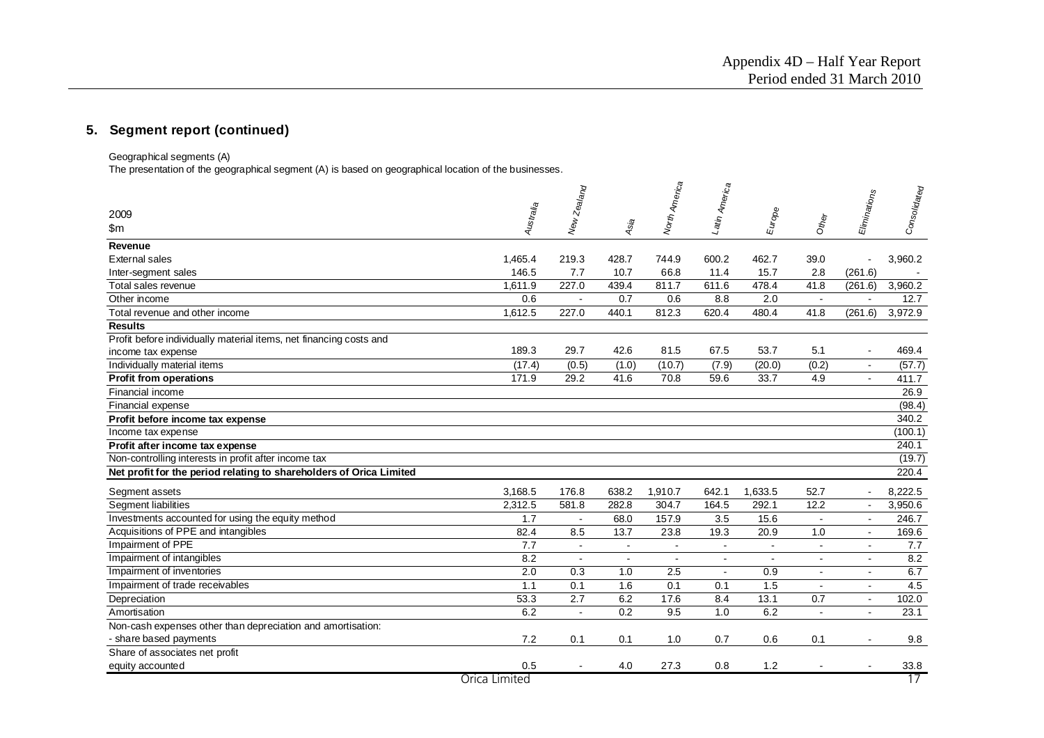Geographical segments (A)

The presentation of the geographical segment (A) is based on geographical location of the businesses.

| 2009<br>$\mathsf{m}$                                                | Australia     | New Zealand    | Asia           | I <sup>North</sup> America | -atin America  | Europe  | Other          | Eliminations          | Consolidated |
|---------------------------------------------------------------------|---------------|----------------|----------------|----------------------------|----------------|---------|----------------|-----------------------|--------------|
| Revenue                                                             |               |                |                |                            |                |         |                |                       |              |
| External sales                                                      | 1.465.4       | 219.3          | 428.7          | 744.9                      | 600.2          | 462.7   | 39.0           | ÷.                    | 3,960.2      |
| Inter-segment sales                                                 | 146.5         | 7.7            | 10.7           | 66.8                       | 11.4           | 15.7    | 2.8            | (261.6)               |              |
| Total sales revenue                                                 | 1.611.9       | 227.0          | 439.4          | 811.7                      | 611.6          | 478.4   | 41.8           | (261.6)               | 3,960.2      |
| Other income                                                        | 0.6           | $\blacksquare$ | 0.7            | 0.6                        | 8.8            | 2.0     | $\blacksquare$ | $\blacksquare$        | 12.7         |
| Total revenue and other income                                      | 1,612.5       | 227.0          | 440.1          | 812.3                      | 620.4          | 480.4   | 41.8           | (261.6)               | 3,972.9      |
| <b>Results</b>                                                      |               |                |                |                            |                |         |                |                       |              |
| Profit before individually material items, net financing costs and  |               |                |                |                            |                |         |                |                       |              |
| income tax expense                                                  | 189.3         | 29.7           | 42.6           | 81.5                       | 67.5           | 53.7    | 5.1            | $\blacksquare$        | 469.4        |
| Individually material items                                         | (17.4)        | (0.5)          | (1.0)          | (10.7)                     | (7.9)          | (20.0)  | (0.2)          | $\sim$                | (57.7)       |
| <b>Profit from operations</b>                                       | 171.9         | 29.2           | 41.6           | 70.8                       | 59.6           | 33.7    | 4.9            | $\blacksquare$        | 411.7        |
| Financial income                                                    |               |                |                |                            |                |         |                |                       | 26.9         |
| Financial expense                                                   |               |                |                |                            |                |         |                |                       | (98.4)       |
| Profit before income tax expense                                    |               |                |                |                            |                |         |                |                       | 340.2        |
| Income tax expense                                                  |               |                |                |                            |                |         |                |                       | (100.1)      |
| Profit after income tax expense                                     |               |                |                |                            |                |         |                |                       | 240.1        |
| Non-controlling interests in profit after income tax                |               |                |                |                            |                |         |                |                       | (19.7)       |
| Net profit for the period relating to shareholders of Orica Limited |               |                |                |                            |                |         |                |                       | 220.4        |
| Segment assets                                                      | 3,168.5       | 176.8          | 638.2          | 1,910.7                    | 642.1          | 1,633.5 | 52.7           | $\blacksquare$        | 8.222.5      |
| Segment liabilities                                                 | 2,312.5       | 581.8          | 282.8          | 304.7                      | 164.5          | 292.1   | 12.2           | $\sim$                | 3,950.6      |
| Investments accounted for using the equity method                   | 1.7           | $\sim$         | 68.0           | 157.9                      | 3.5            | 15.6    | $\blacksquare$ | $\sim$                | 246.7        |
| Acquisitions of PPE and intangibles                                 | 82.4          | 8.5            | 13.7           | 23.8                       | 19.3           | 20.9    | 1.0            | $\blacksquare$        | 169.6        |
| Impairment of PPE                                                   | 7.7           | $\sim$         | $\sim$         | $\sim$                     | $\blacksquare$ | $\sim$  | $\blacksquare$ | $\blacksquare$        | 7.7          |
| Impairment of intangibles                                           | 8.2           | $\blacksquare$ | $\blacksquare$ | $\sim$                     | $\blacksquare$ | $\sim$  | $\blacksquare$ | $\tilde{\phantom{a}}$ | 8.2          |
| Impairment of inventories                                           | 2.0           | 0.3            | 1.0            | 2.5                        | $\blacksquare$ | 0.9     | $\blacksquare$ | $\sim$                | 6.7          |
| Impairment of trade receivables                                     | 1.1           | 0.1            | 1.6            | 0.1                        | 0.1            | 1.5     | $\blacksquare$ | $\sim$                | 4.5          |
| Depreciation                                                        | 53.3          | 2.7            | 6.2            | 17.6                       | 8.4            | 13.1    | 0.7            | $\blacksquare$        | 102.0        |
| Amortisation                                                        | 6.2           | $\sim$         | 0.2            | 9.5                        | 1.0            | 6.2     | $\blacksquare$ | $\blacksquare$        | 23.1         |
| Non-cash expenses other than depreciation and amortisation:         |               |                |                |                            |                |         |                |                       |              |
| - share based payments                                              | 7.2           | 0.1            | 0.1            | 1.0                        | 0.7            | 0.6     | 0.1            |                       | 9.8          |
| Share of associates net profit                                      |               |                |                |                            |                |         |                |                       |              |
| equity accounted                                                    | 0.5           |                | 4.0            | 27.3                       | 0.8            | 1.2     |                |                       | 33.8         |
|                                                                     | Orica Limited |                |                |                            |                |         |                |                       | 17           |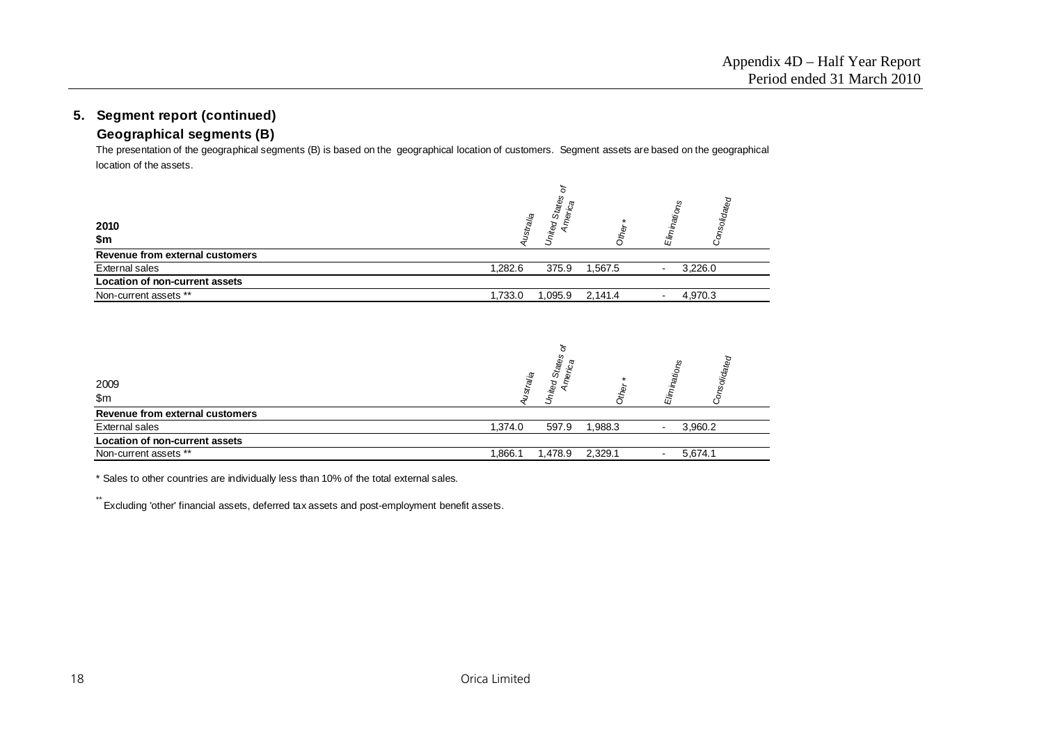# **Geographical segments (B)**

The presentation of the geographical segments (B) is based on the geographical location of customers. Segment assets are based on the geographical location of the assets.

| 2010<br>\$m                     | ustralia | United States<br>Americ. | Other   | Consolidated<br>Eliminations |
|---------------------------------|----------|--------------------------|---------|------------------------------|
| Revenue from external customers |          |                          |         |                              |
| External sales                  | 1,282.6  | 375.9                    | 1,567.5 | 3,226.0<br>$\blacksquare$    |
| Location of non-current assets  |          |                          |         |                              |
| Non-current assets **           | 1,733.0  | 1,095.9                  | 2,141.4 | 4,970.3<br>$\blacksquare$    |
|                                 |          | ites<br>ু                |         | fed<br>S.                    |

| 2009<br>\$m\$                   | dateg<br>ω<br>Ģ<br>и.                                    |
|---------------------------------|----------------------------------------------------------|
| Revenue from external customers |                                                          |
| External sales                  | 1,374.0<br>1,988.3<br>3,960.2<br>597.9<br>$\blacksquare$ |
| Location of non-current assets  |                                                          |
| Non-current assets **           | .866.1<br>2,329.1<br>5,674.1<br>478.9. ا                 |

\* Sales to other countries are individually less than 10% of the total external sales.

\*\* Excluding 'other' financial assets, deferred tax assets and post-employment benefit assets.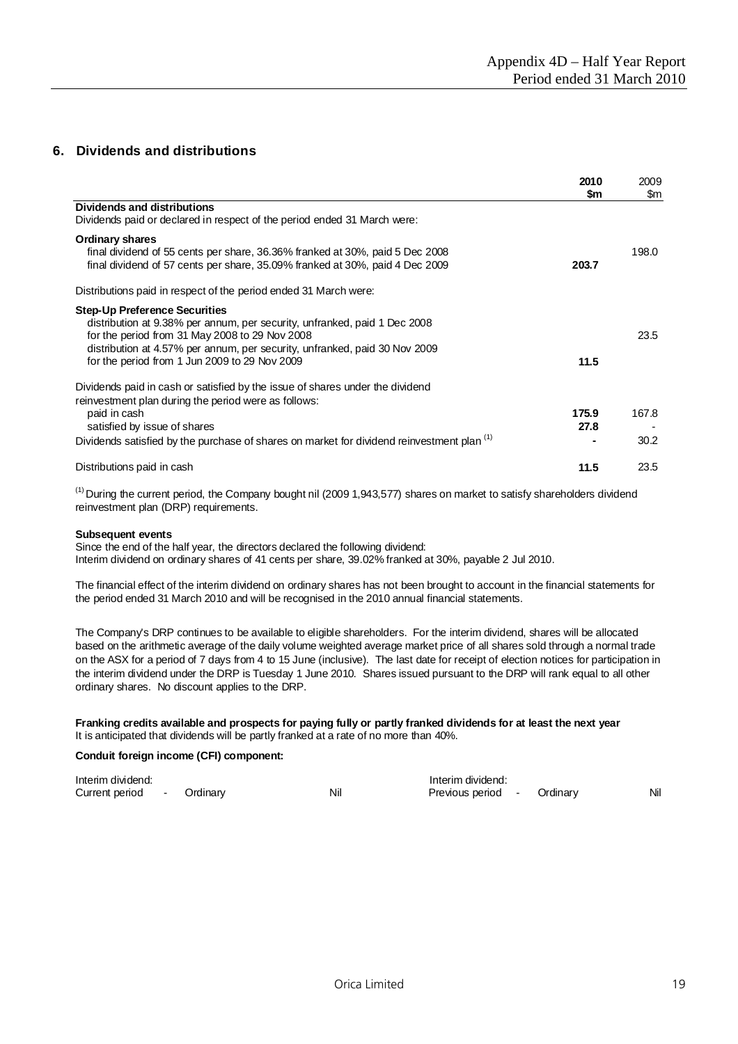## **6. Dividends and distributions**

|                                                                                                                                                                                                                                                                                                    | 2010<br>\$m   | 2009<br>\$m   |
|----------------------------------------------------------------------------------------------------------------------------------------------------------------------------------------------------------------------------------------------------------------------------------------------------|---------------|---------------|
| <b>Dividends and distributions</b><br>Dividends paid or declared in respect of the period ended 31 March were:                                                                                                                                                                                     |               |               |
| <b>Ordinary shares</b><br>final dividend of 55 cents per share, 36.36% franked at 30%, paid 5 Dec 2008<br>final dividend of 57 cents per share, 35.09% franked at 30%, paid 4 Dec 2009                                                                                                             | 203.7         | 198.0         |
| Distributions paid in respect of the period ended 31 March were:                                                                                                                                                                                                                                   |               |               |
| <b>Step-Up Preference Securities</b><br>distribution at 9.38% per annum, per security, unfranked, paid 1 Dec 2008<br>for the period from 31 May 2008 to 29 Nov 2008<br>distribution at 4.57% per annum, per security, unfranked, paid 30 Nov 2009<br>for the period from 1 Jun 2009 to 29 Nov 2009 | 11.5          | 23.5          |
| Dividends paid in cash or satisfied by the issue of shares under the dividend<br>reinvestment plan during the period were as follows:<br>paid in cash<br>satisfied by issue of shares<br>Dividends satisfied by the purchase of shares on market for dividend reinvestment plan <sup>(1)</sup>     | 175.9<br>27.8 | 167.8<br>30.2 |
| Distributions paid in cash                                                                                                                                                                                                                                                                         | 11.5          | 23.5          |

 $<sup>(1)</sup>$  During the current period, the Company bought nil (2009 1,943,577) shares on market to satisfy shareholders dividend</sup> reinvestment plan (DRP) requirements.

#### **Subsequent events**

Since the end of the half year, the directors declared the following dividend: Interim dividend on ordinary shares of 41 cents per share, 39.02% franked at 30%, payable 2 Jul 2010.

The financial effect of the interim dividend on ordinary shares has not been brought to account in the financial statements for the period ended 31 March 2010 and will be recognised in the 2010 annual financial statements.

The Company's DRP continues to be available to eligible shareholders. For the interim dividend, shares will be allocated based on the arithmetic average of the daily volume weighted average market price of all shares sold through a normal trade on the ASX for a period of 7 days from 4 to 15 June (inclusive). The last date for receipt of election notices for participation in the interim dividend under the DRP is Tuesday 1 June 2010. Shares issued pursuant to the DRP will rank equal to all other ordinary shares. No discount applies to the DRP.

#### **Franking credits available and prospects for paying fully or partly franked dividends for at least the next year** It is anticipated that dividends will be partly franked at a rate of no more than 40%.

#### **Conduit foreign income (CFI) component:**

| Interim dividend: |  |          | Interim dividend: |                   |  |          |     |  |
|-------------------|--|----------|-------------------|-------------------|--|----------|-----|--|
| Current period -  |  | Ordinary | Nil               | Previous period - |  | Ordinary | Nil |  |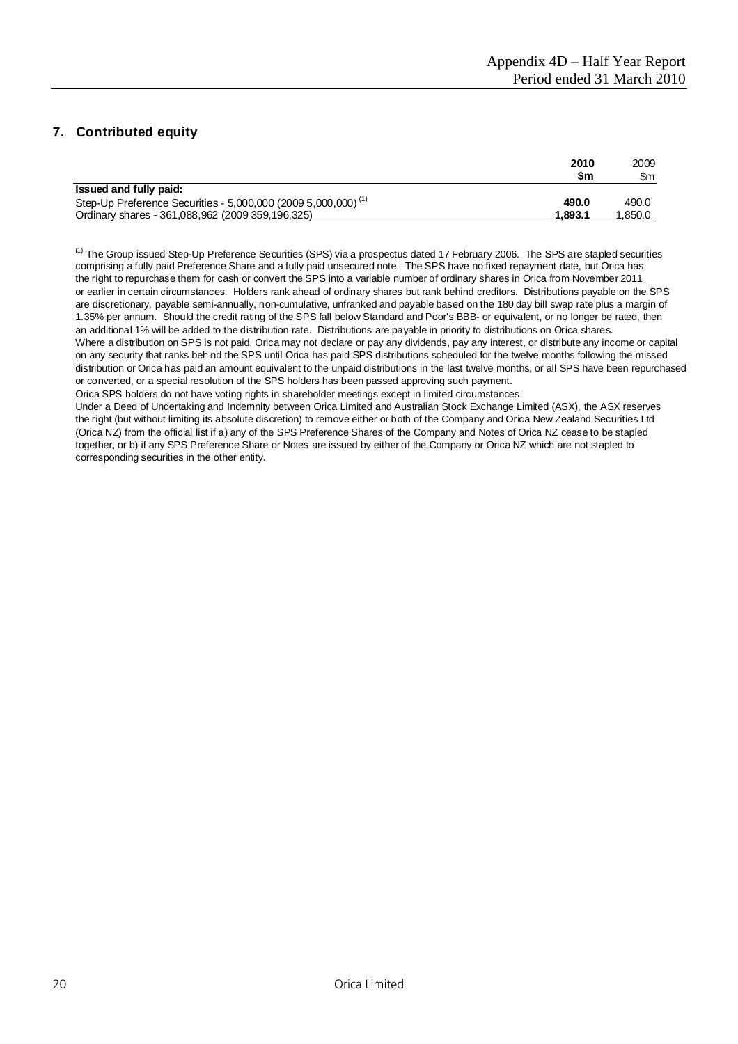# **7. Contributed equity**

|                                                                           | 2010    | 2009   |
|---------------------------------------------------------------------------|---------|--------|
|                                                                           | \$m     | \$m    |
| Issued and fully paid:                                                    |         |        |
| Step-Up Preference Securities - 5,000,000 (2009 5,000,000) <sup>(1)</sup> | 490.0   | 490.0  |
| Ordinary shares - 361,088,962 (2009 359,196,325)                          | 1.893.1 | .850.0 |

<sup>(1)</sup> The Group issued Step-Up Preference Securities (SPS) via a prospectus dated 17 February 2006. The SPS are stapled securities comprising a fully paid Preference Share and a fully paid unsecured note. The SPS have no fixed repayment date, but Orica has the right to repurchase them for cash or convert the SPS into a variable number of ordinary shares in Orica from November 2011 or earlier in certain circumstances. Holders rank ahead of ordinary shares but rank behind creditors. Distributions payable on the SPS are discretionary, payable semi-annually, non-cumulative, unfranked and payable based on the 180 day bill swap rate plus a margin of 1.35% per annum. Should the credit rating of the SPS fall below Standard and Poor's BBB- or equivalent, or no longer be rated, then an additional 1% will be added to the distribution rate. Distributions are payable in priority to distributions on Orica shares. Where a distribution on SPS is not paid, Orica may not declare or pay any dividends, pay any interest, or distribute any income or capital on any security that ranks behind the SPS until Orica has paid SPS distributions scheduled for the twelve months following the missed distribution or Orica has paid an amount equivalent to the unpaid distributions in the last twelve months, or all SPS have been repurchased or converted, or a special resolution of the SPS holders has been passed approving such payment.

Orica SPS holders do not have voting rights in shareholder meetings except in limited circumstances.

Under a Deed of Undertaking and Indemnity between Orica Limited and Australian Stock Exchange Limited (ASX), the ASX reserves the right (but without limiting its absolute discretion) to remove either or both of the Company and Orica New Zealand Securities Ltd (Orica NZ) from the official list if a) any of the SPS Preference Shares of the Company and Notes of Orica NZ cease to be stapled together, or b) if any SPS Preference Share or Notes are issued by either of the Company or Orica NZ which are not stapled to corresponding securities in the other entity.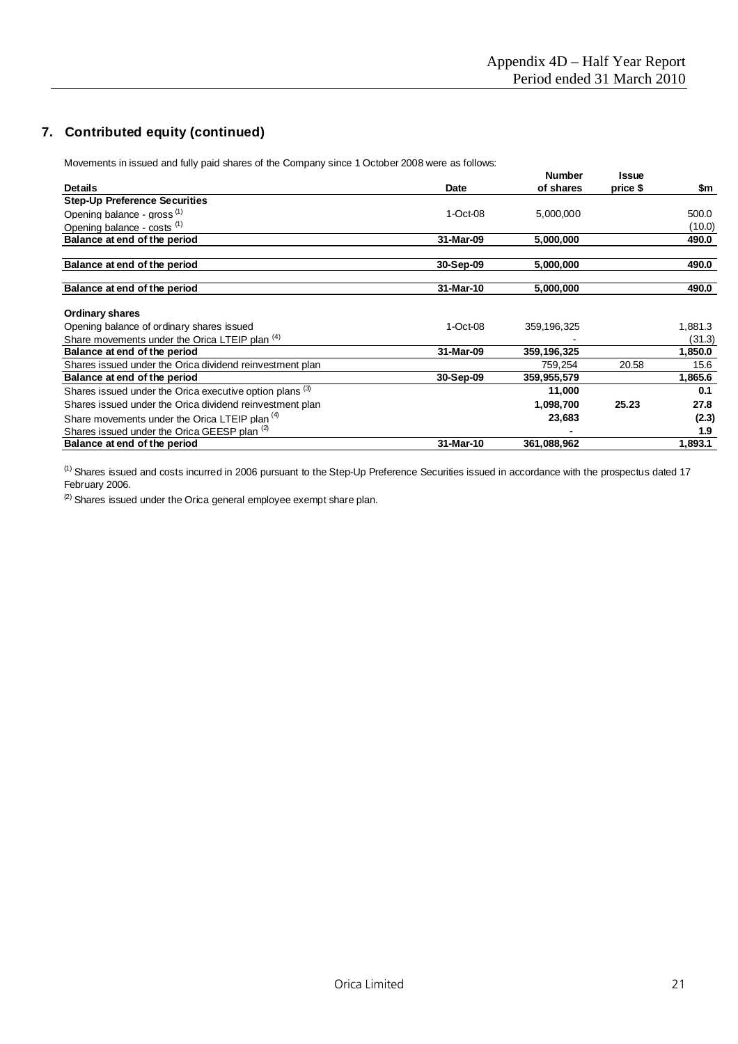# **7. Contributed equity (continued)**

Movements in issued and fully paid shares of the Company since 1 October 2008 were as follows:

|                                                           |              | <b>Number</b> | Issue    |         |
|-----------------------------------------------------------|--------------|---------------|----------|---------|
| <b>Details</b>                                            | Date         | of shares     | price \$ | \$m     |
| <b>Step-Up Preference Securities</b>                      |              |               |          |         |
| Opening balance - gross <sup>(1)</sup>                    | $1 - Oct-08$ | 5,000,000     |          | 500.0   |
| Opening balance - costs (1)                               |              |               |          | (10.0)  |
| Balance at end of the period                              | 31-Mar-09    | 5,000,000     |          | 490.0   |
| Balance at end of the period                              | 30-Sep-09    | 5,000,000     |          | 490.0   |
| Balance at end of the period                              | 31-Mar-10    | 5,000,000     |          | 490.0   |
| <b>Ordinary shares</b>                                    |              |               |          |         |
| Opening balance of ordinary shares issued                 | $1 - Oct-08$ | 359,196,325   |          | 1,881.3 |
| Share movements under the Orica LTEIP plan (4)            |              |               |          | (31.3)  |
| Balance at end of the period                              | 31-Mar-09    | 359,196,325   |          | 1,850.0 |
| Shares issued under the Orica dividend reinvestment plan  |              | 759,254       | 20.58    | 15.6    |
| Balance at end of the period                              | 30-Sep-09    | 359,955,579   |          | 1,865.6 |
| Shares issued under the Orica executive option plans (3)  |              | 11,000        |          | 0.1     |
| Shares issued under the Orica dividend reinvestment plan  |              | 1,098,700     | 25.23    | 27.8    |
| Share movements under the Orica LTEIP plan <sup>(4)</sup> |              | 23,683        |          | (2.3)   |
| Shares issued under the Orica GEESP plan (2)              |              |               |          | 1.9     |
| Balance at end of the period                              | 31-Mar-10    | 361,088,962   |          | 1,893.1 |

(1) Shares issued and costs incurred in 2006 pursuant to the Step-Up Preference Securities issued in accordance with the prospectus dated 17 February 2006.

 $(2)$  Shares issued under the Orica general employee exempt share plan.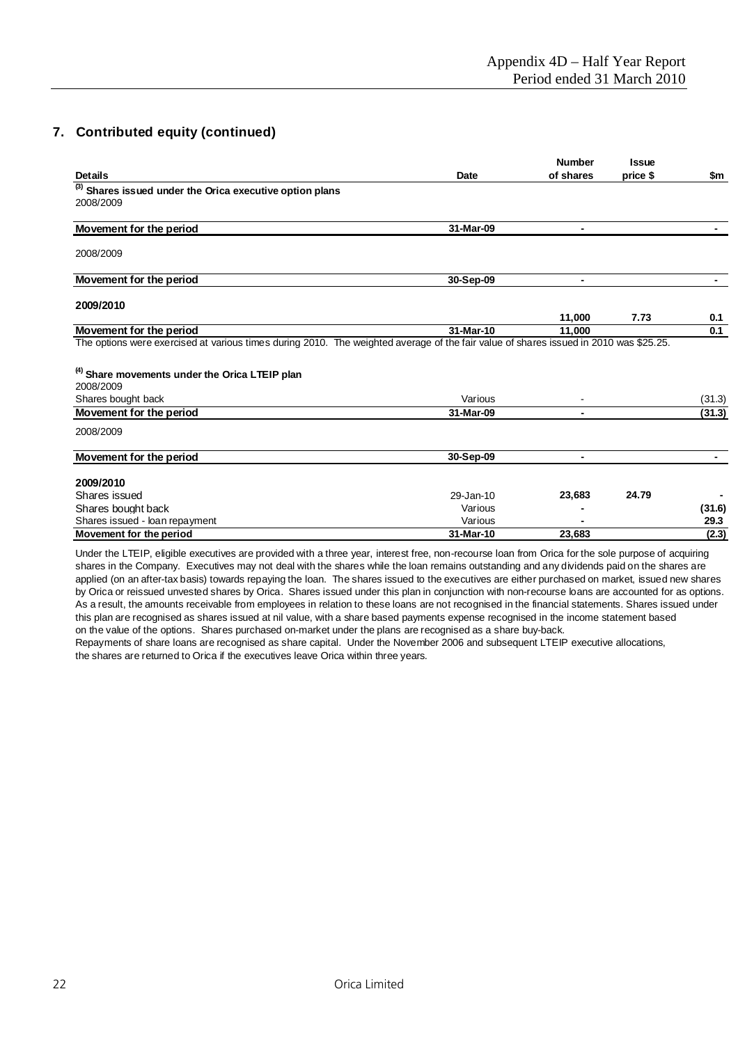# **7. Contributed equity (continued)**

|                                                                        |                      | <b>Number</b>  | <b>Issue</b> |               |
|------------------------------------------------------------------------|----------------------|----------------|--------------|---------------|
| <b>Details</b>                                                         | <b>Date</b>          | of shares      | price \$     | \$m           |
| (3) Shares issued under the Orica executive option plans               |                      |                |              |               |
| 2008/2009                                                              |                      |                |              |               |
| <b>Movement for the period</b>                                         | 31-Mar-09            |                |              |               |
| 2008/2009                                                              |                      |                |              |               |
| Movement for the period                                                | 30-Sep-09            | $\blacksquare$ |              |               |
| 2009/2010                                                              |                      |                |              |               |
|                                                                        |                      | 11,000         | 7.73         | 0.1           |
| Movement for the period                                                | 31-Mar-10            | 11,000         |              | 0.1           |
| <sup>(4)</sup> Share movements under the Orica LTEIP plan<br>2008/2009 |                      |                |              |               |
| Shares bought back                                                     | Various              |                |              | (31.3)        |
| Movement for the period                                                | 31-Mar-09            |                |              | (31.3)        |
| 2008/2009                                                              |                      |                |              |               |
| Movement for the period                                                | 30-Sep-09            |                |              |               |
| 2009/2010                                                              |                      |                |              |               |
| Shares issued                                                          | 29-Jan-10            | 23,683         | 24.79        |               |
| Shares bought back                                                     |                      |                |              |               |
|                                                                        | Various              |                |              | (31.6)        |
| Shares issued - loan repayment<br>Movement for the period              | Various<br>31-Mar-10 | 23,683         |              | 29.3<br>(2.3) |

Under the LTEIP, eligible executives are provided with a three year, interest free, non-recourse loan from Orica for the sole purpose of acquiring shares in the Company. Executives may not deal with the shares while the loan remains outstanding and any dividends paid on the shares are applied (on an after-tax basis) towards repaying the loan. The shares issued to the executives are either purchased on market, issued new shares by Orica or reissued unvested shares by Orica. Shares issued under this plan in conjunction with non-recourse loans are accounted for as options. As a result, the amounts receivable from employees in relation to these loans are not recognised in the financial statements. Shares issued under this plan are recognised as shares issued at nil value, with a share based payments expense recognised in the income statement based on the value of the options. Shares purchased on-market under the plans are recognised as a share buy-back.

Repayments of share loans are recognised as share capital. Under the November 2006 and subsequent LTEIP executive allocations, the shares are returned to Orica if the executives leave Orica within three years.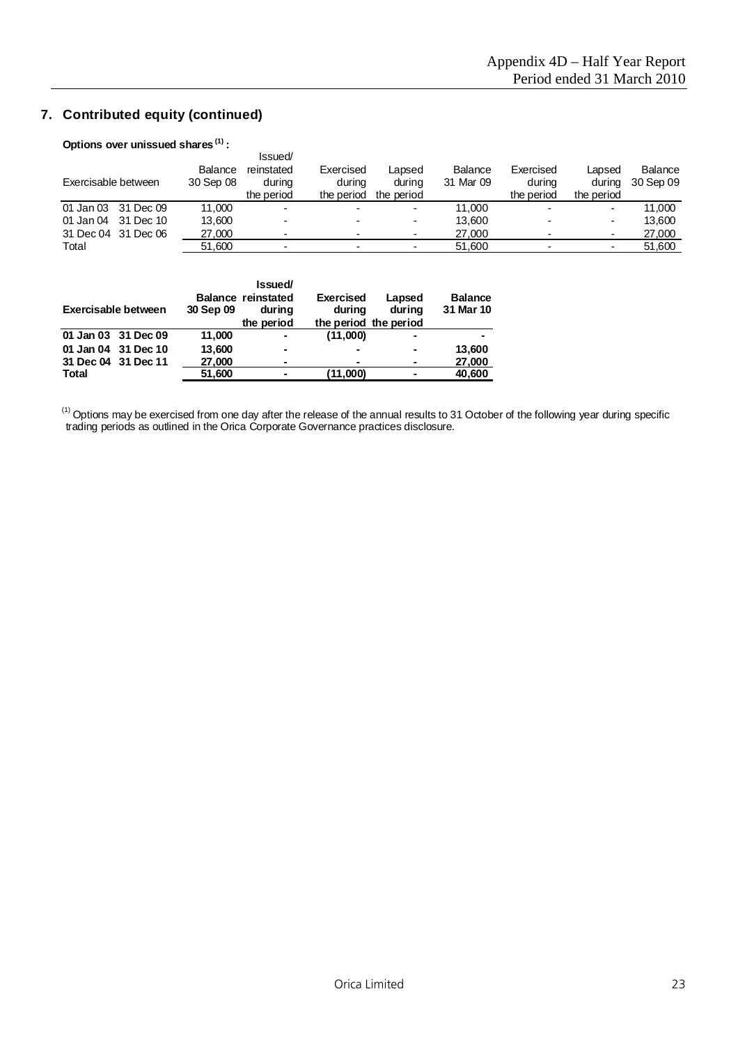# **7. Contributed equity (continued)**

# **Options over unissued shares (1) :**

|                     |                      | Issued/                            |                                   |                                |                      |                                   |                                |                      |
|---------------------|----------------------|------------------------------------|-----------------------------------|--------------------------------|----------------------|-----------------------------------|--------------------------------|----------------------|
| Exercisable between | Balance<br>30 Sep 08 | reinstated<br>durina<br>the period | Exercised<br>durina<br>the period | Lapsed<br>during<br>the period | Balance<br>31 Mar 09 | Exercised<br>during<br>the period | Lapsed<br>during<br>the period | Balance<br>30 Sep 09 |
| 01 Jan 03 31 Dec 09 | 11.000               |                                    |                                   | ٠                              | 11.000               |                                   | ۰                              | 11.000               |
| 01 Jan 04 31 Dec 10 | 13.600               | -                                  |                                   | ۰                              | 13.600               |                                   | ۰                              | 13.600               |
| 31 Dec 04 31 Dec 06 | 27,000               |                                    |                                   |                                | 27.000               |                                   | ۰                              | 27,000               |
| Total               | 51.600               |                                    |                                   | ٠                              | 51.600               |                                   | ٠                              | 51,600               |

| Exercisable between | 30 Sep 09 | <b>Issued</b><br><b>Balance reinstated</b><br>during<br>the period | <b>Exercised</b><br>during<br>the period the period | Lapsed<br>during | <b>Balance</b><br>31 Mar 10 |
|---------------------|-----------|--------------------------------------------------------------------|-----------------------------------------------------|------------------|-----------------------------|
| 01 Jan 03 31 Dec 09 | 11.000    | ۰                                                                  | (11,000)                                            |                  |                             |
| 01 Jan 04 31 Dec 10 | 13,600    | $\blacksquare$                                                     |                                                     |                  | 13,600                      |
| 31 Dec 04 31 Dec 11 | 27,000    | ۰                                                                  |                                                     |                  | 27,000                      |
| <b>Total</b>        | 51,600    | $\blacksquare$                                                     | (11,000)                                            |                  | 40,600                      |

 $^{(1)}$  Options may be exercised from one day after the release of the annual results to 31 October of the following year during specific trading periods as outlined in the Orica Corporate Governance practices disclosure.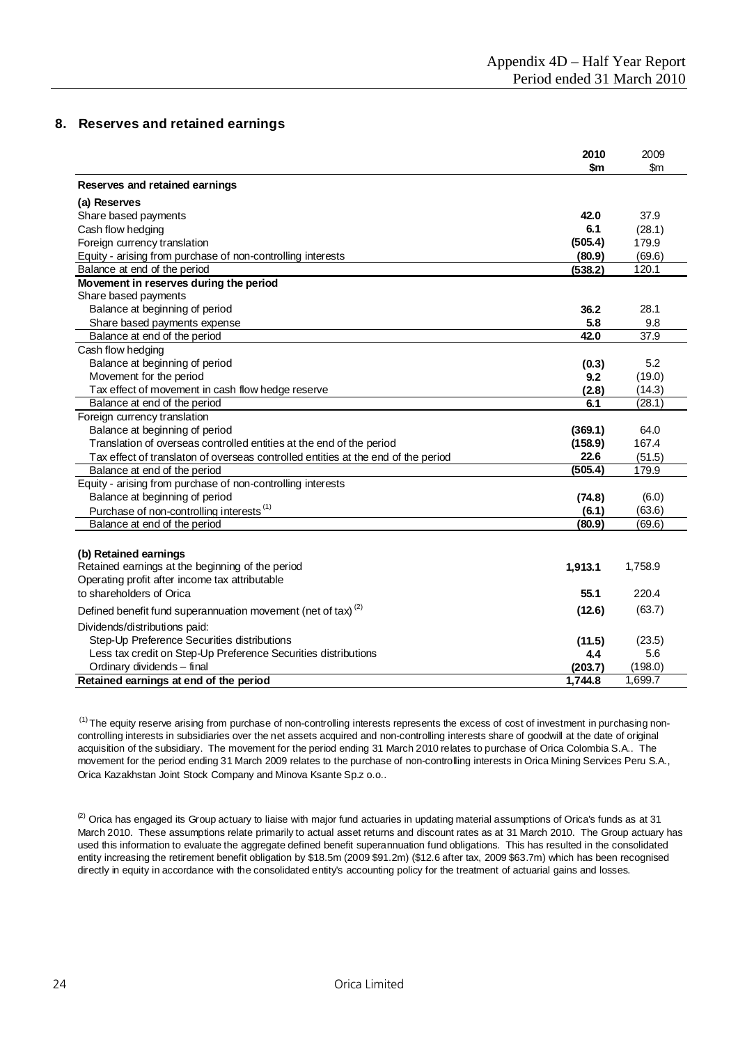## **8. Reserves and retained earnings**

|                                                                                   | 2010    | 2009          |
|-----------------------------------------------------------------------------------|---------|---------------|
|                                                                                   | \$m     | $\mathsf{Sm}$ |
| Reserves and retained earnings                                                    |         |               |
| (a) Reserves                                                                      |         |               |
| Share based payments                                                              | 42.0    | 37.9          |
| Cash flow hedging                                                                 | 6.1     | (28.1)        |
| Foreign currency translation                                                      | (505.4) | 179.9         |
| Equity - arising from purchase of non-controlling interests                       | (80.9)  | (69.6)        |
| Balance at end of the period                                                      | (538.2) | 120.1         |
| Movement in reserves during the period                                            |         |               |
| Share based payments                                                              |         |               |
| Balance at beginning of period                                                    | 36.2    | 28.1          |
| Share based payments expense                                                      | 5.8     | 9.8           |
| Balance at end of the period                                                      | 42.0    | 37.9          |
| Cash flow hedging                                                                 |         |               |
| Balance at beginning of period                                                    | (0.3)   | 5.2           |
| Movement for the period                                                           | 9.2     | (19.0)        |
| Tax effect of movement in cash flow hedge reserve                                 | (2.8)   | (14.3)        |
| Balance at end of the period                                                      | 6.1     | (28.1)        |
| Foreign currency translation                                                      |         |               |
| Balance at beginning of period                                                    | (369.1) | 64.0          |
| Translation of overseas controlled entities at the end of the period              | (158.9) | 167.4         |
| Tax effect of translaton of overseas controlled entities at the end of the period | 22.6    | (51.5)        |
| Balance at end of the period                                                      | (505.4) | 179.9         |
| Equity - arising from purchase of non-controlling interests                       |         |               |
| Balance at beginning of period                                                    | (74.8)  | (6.0)         |
| Purchase of non-controlling interests <sup>(1)</sup>                              | (6.1)   | (63.6)        |
| Balance at end of the period                                                      | (80.9)  | (69.6)        |
|                                                                                   |         |               |
| (b) Retained earnings                                                             |         |               |
| Retained earnings at the beginning of the period                                  | 1,913.1 | 1,758.9       |
| Operating profit after income tax attributable                                    |         |               |
| to shareholders of Orica                                                          | 55.1    | 220.4         |
| Defined benefit fund superannuation movement (net of tax) <sup>(2)</sup>          | (12.6)  | (63.7)        |
| Dividends/distributions paid:                                                     |         |               |
| Step-Up Preference Securities distributions                                       | (11.5)  | (23.5)        |
| Less tax credit on Step-Up Preference Securities distributions                    | 4.4     | 5.6           |
| Ordinary dividends - final                                                        | (203.7) | (198.0)       |
| Retained earnings at end of the period                                            | 1,744.8 | 1,699.7       |

 $<sup>(1)</sup>$  The equity reserve arising from purchase of non-controlling interests represents the excess of cost of investment in purchasing non-</sup> controlling interests in subsidiaries over the net assets acquired and non-controlling interests share of goodwill at the date of original acquisition of the subsidiary. The movement for the period ending 31 March 2010 relates to purchase of Orica Colombia S.A.. The movement for the period ending 31 March 2009 relates to the purchase of non-controlling interests in Orica Mining Services Peru S.A., Orica Kazakhstan Joint Stock Company and Minova Ksante Sp.z o.o..

<sup>(2)</sup> Orica has engaged its Group actuary to liaise with major fund actuaries in updating material assumptions of Orica's funds as at 31 March 2010. These assumptions relate primarily to actual asset returns and discount rates as at 31 March 2010. The Group actuary has used this information to evaluate the aggregate defined benefit superannuation fund obligations. This has resulted in the consolidated entity increasing the retirement benefit obligation by \$18.5m (2009 \$91.2m) (\$12.6 after tax, 2009 \$63.7m) which has been recognised directly in equity in accordance with the consolidated entity's accounting policy for the treatment of actuarial gains and losses.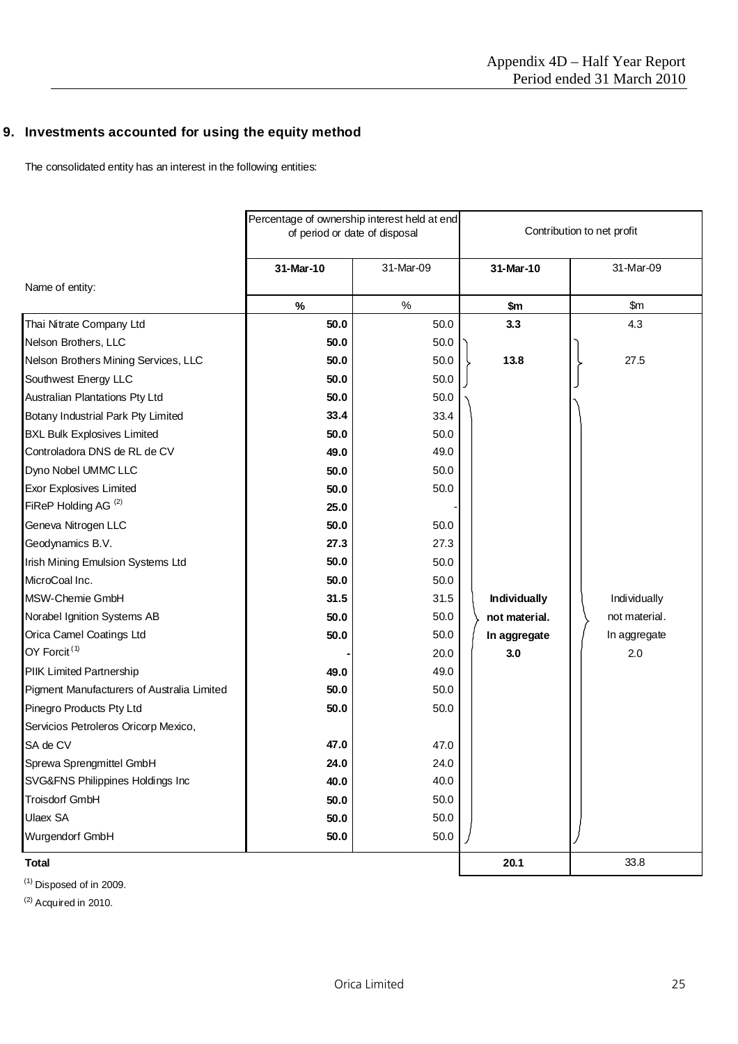# **9. Investments accounted for using the equity method**

The consolidated entity has an interest in the following entities:

|                                            | Percentage of ownership interest held at end<br>of period or date of disposal |           | Contribution to net profit |               |  |
|--------------------------------------------|-------------------------------------------------------------------------------|-----------|----------------------------|---------------|--|
|                                            | 31-Mar-10                                                                     | 31-Mar-09 | 31-Mar-10                  | 31-Mar-09     |  |
| Name of entity:                            |                                                                               |           |                            |               |  |
|                                            | $\%$                                                                          | $\%$      | \$m                        | \$m\$         |  |
| Thai Nitrate Company Ltd                   | 50.0                                                                          | 50.0      | 3.3                        | 4.3           |  |
| Nelson Brothers, LLC                       | 50.0                                                                          | 50.0      |                            |               |  |
| Nelson Brothers Mining Services, LLC       | 50.0                                                                          | 50.0      | 13.8                       | 27.5          |  |
| Southwest Energy LLC                       | 50.0                                                                          | 50.0      |                            |               |  |
| Australian Plantations Pty Ltd             | 50.0                                                                          | 50.0      |                            |               |  |
| Botany Industrial Park Pty Limited         | 33.4                                                                          | 33.4      |                            |               |  |
| <b>BXL Bulk Explosives Limited</b>         | 50.0                                                                          | 50.0      |                            |               |  |
| Controladora DNS de RL de CV               | 49.0                                                                          | 49.0      |                            |               |  |
| Dyno Nobel UMMC LLC                        | 50.0                                                                          | 50.0      |                            |               |  |
| <b>Exor Explosives Limited</b>             | 50.0                                                                          | 50.0      |                            |               |  |
| FiReP Holding AG <sup>(2)</sup>            | 25.0                                                                          |           |                            |               |  |
| Geneva Nitrogen LLC                        | 50.0                                                                          | 50.0      |                            |               |  |
| Geodynamics B.V.                           | 27.3                                                                          | 27.3      |                            |               |  |
| Irish Mining Emulsion Systems Ltd          | 50.0                                                                          | 50.0      |                            |               |  |
| MicroCoal Inc.                             | 50.0                                                                          | 50.0      |                            |               |  |
| MSW-Chemie GmbH                            | 31.5                                                                          | 31.5      | <b>Individually</b>        | Individually  |  |
| Norabel Ignition Systems AB                | 50.0                                                                          | 50.0      | not material.              | not material. |  |
| Orica Camel Coatings Ltd                   | 50.0                                                                          | 50.0      | In aggregate               | In aggregate  |  |
| OY Forcit <sup>(1)</sup>                   |                                                                               | 20.0      | 3.0                        | 2.0           |  |
| PIIK Limited Partnership                   | 49.0                                                                          | 49.0      |                            |               |  |
| Pigment Manufacturers of Australia Limited | 50.0                                                                          | 50.0      |                            |               |  |
| Pinegro Products Pty Ltd                   | 50.0                                                                          | 50.0      |                            |               |  |
| Servicios Petroleros Oricorp Mexico,       |                                                                               |           |                            |               |  |
| SA de CV                                   | 47.0                                                                          | 47.0      |                            |               |  |
| Sprewa Sprengmittel GmbH                   | 24.0                                                                          | 24.0      |                            |               |  |
| SVG&FNS Philippines Holdings Inc           | 40.0                                                                          | 40.0      |                            |               |  |
| Troisdorf GmbH                             | 50.0                                                                          | 50.0      |                            |               |  |
| <b>Ulaex SA</b>                            | 50.0                                                                          | 50.0      |                            |               |  |
| Wurgendorf GmbH                            | 50.0                                                                          | 50.0      |                            |               |  |
| <b>Total</b>                               |                                                                               |           | 20.1                       | 33.8          |  |

 $(1)$  Disposed of in 2009.

 $(2)$  Acquired in 2010.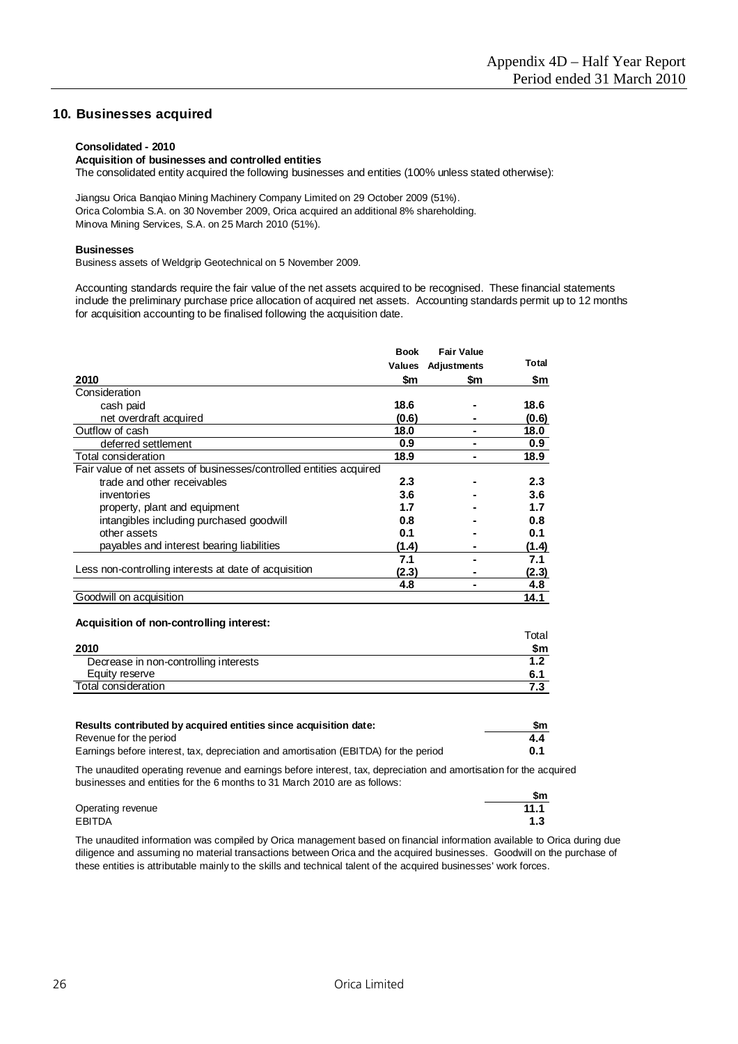## **10. Businesses acquired**

#### **Consolidated - 2010**

#### **Acquisition of businesses and controlled entities**

The consolidated entity acquired the following businesses and entities (100% unless stated otherwise):

Orica Colombia S.A. on 30 November 2009, Orica acquired an additional 8% shareholding. Minova Mining Services, S.A. on 25 March 2010 (51%). Jiangsu Orica Banqiao Mining Machinery Company Limited on 29 October 2009 (51%).

#### **Businesses**

Business assets of Weldgrip Geotechnical on 5 November 2009.

Accounting standards require the fair value of the net assets acquired to be recognised. These financial statements include the preliminary purchase price allocation of acquired net assets. Accounting standards permit up to 12 months for acquisition accounting to be finalised following the acquisition date.

|                                                                     | <b>Book</b> | <b>Fair Value</b> |       |
|---------------------------------------------------------------------|-------------|-------------------|-------|
|                                                                     | Values      | Adjustments       | Total |
| 2010                                                                | \$m         | \$m               | \$m   |
| Consideration                                                       |             |                   |       |
| cash paid                                                           | 18.6        |                   | 18.6  |
| net overdraft acquired                                              | (0.6)       |                   | (0.6) |
| Outflow of cash                                                     | 18.0        |                   | 18.0  |
| deferred settlement                                                 | 0.9         |                   | 0.9   |
| Total consideration                                                 | 18.9        |                   | 18.9  |
| Fair value of net assets of businesses/controlled entities acquired |             |                   |       |
| trade and other receivables                                         | 2.3         |                   | 2.3   |
| inventories                                                         | 3.6         |                   | 3.6   |
| property, plant and equipment                                       | 1.7         |                   | 1.7   |
| intangibles including purchased goodwill                            | 0.8         |                   | 0.8   |
| other assets                                                        | 0.1         |                   | 0.1   |
| payables and interest bearing liabilities                           | (1.4)       |                   | (1.4) |
|                                                                     | 7.1         |                   | 7.1   |
| Less non-controlling interests at date of acquisition               | (2.3)       |                   | (2.3) |
|                                                                     | 4.8         |                   | 4.8   |
| Goodwill on acquisition                                             |             |                   | 14.1  |

#### **Acquisition of non-controlling interest:**

|                                       | ⊺otal |
|---------------------------------------|-------|
| 2010                                  | \$m   |
| Decrease in non-controlling interests |       |
| Equity reserve                        | 6.    |
| Total consideration                   |       |
|                                       |       |

| Results contributed by acquired entities since acquisition date:                     | \$m |
|--------------------------------------------------------------------------------------|-----|
| Revenue for the period                                                               | 4.4 |
| Earnings before interest, tax, depreciation and amortisation (EBITDA) for the period | 0.1 |

The unaudited operating revenue and earnings before interest, tax, depreciation and amortisation for the acquired businesses and entities for the 6 months to 31 March 2010 are as follows:

|                   | \$m  |
|-------------------|------|
| Operating revenue | 11.1 |
| EBITDA            | 1.3  |

The unaudited information was compiled by Orica management based on financial information available to Orica during due diligence and assuming no material transactions between Orica and the acquired businesses. Goodwill on the purchase of these entities is attributable mainly to the skills and technical talent of the acquired businesses' work forces.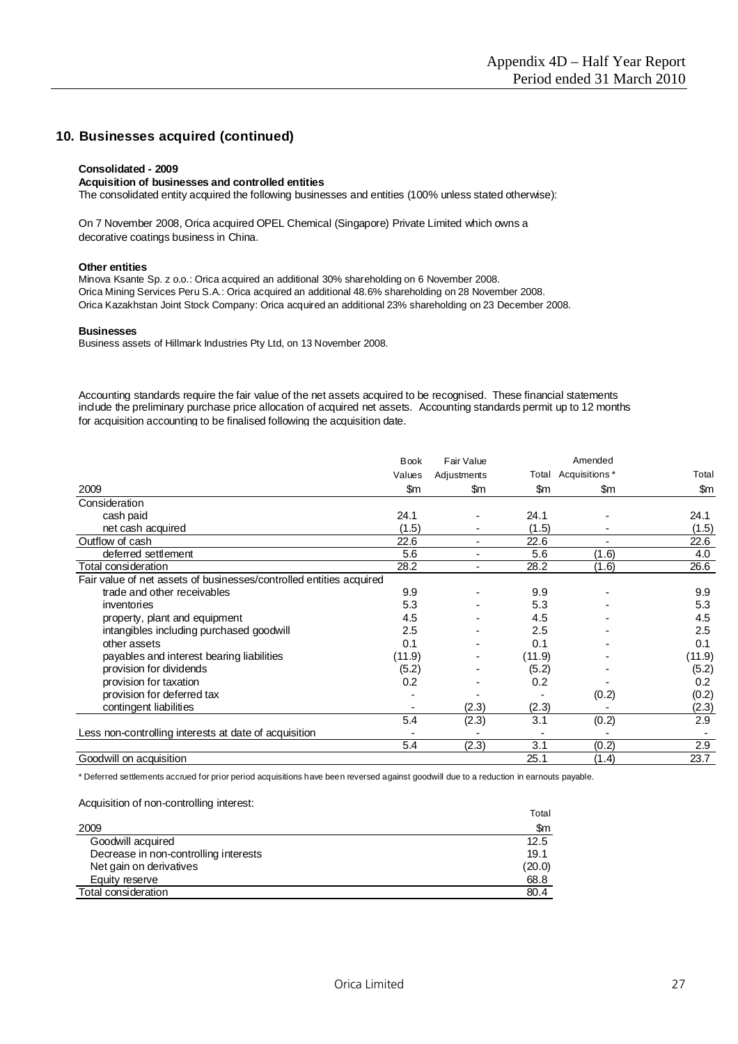## **10. Businesses acquired (continued)**

#### **Consolidated - 2009**

#### **Acquisition of businesses and controlled entities**

The consolidated entity acquired the following businesses and entities (100% unless stated otherwise):

On 7 November 2008, Orica acquired OPEL Chemical (Singapore) Private Limited which owns a decorative coatings business in China.

#### **Other entities**

Minova Ksante Sp. z o.o.: Orica acquired an additional 30% shareholding on 6 November 2008. Orica Mining Services Peru S.A.: Orica acquired an additional 48.6% shareholding on 28 November 2008. Orica Kazakhstan Joint Stock Company: Orica acquired an additional 23% shareholding on 23 December 2008.

#### **Businesses**

Business assets of Hillmark Industries Pty Ltd, on 13 November 2008.

Accounting standards require the fair value of the net assets acquired to be recognised. These financial statements include the preliminary purchase price allocation of acquired net assets. Accounting standards permit up to 12 months for acquisition accounting to be finalised following the acquisition date.

|                                                                     | <b>Book</b> | Fair Value               |        | Amended              |        |
|---------------------------------------------------------------------|-------------|--------------------------|--------|----------------------|--------|
|                                                                     | Values      | Adjustments              |        | Total Acquisitions * | Total  |
| 2009                                                                | \$m         | \$m                      | \$m    | \$m                  | \$m    |
| Consideration                                                       |             |                          |        |                      |        |
| cash paid                                                           | 24.1        |                          | 24.1   |                      | 24.1   |
| net cash acquired                                                   | (1.5)       |                          | (1.5)  |                      | (1.5)  |
| Outflow of cash                                                     | 22.6        | ٠                        | 22.6   | $\blacksquare$       | 22.6   |
| deferred settlement                                                 | 5.6         |                          | 5.6    | (1.6)                | 4.0    |
| Total consideration                                                 | 28.2        | $\overline{\phantom{a}}$ | 28.2   | (1.6)                | 26.6   |
| Fair value of net assets of businesses/controlled entities acquired |             |                          |        |                      |        |
| trade and other receivables                                         | 9.9         |                          | 9.9    |                      | 9.9    |
| inventories                                                         | 5.3         |                          | 5.3    |                      | 5.3    |
| property, plant and equipment                                       | 4.5         |                          | 4.5    |                      | 4.5    |
| intangibles including purchased goodwill                            | 2.5         |                          | 2.5    |                      | 2.5    |
| other assets                                                        | 0.1         |                          | 0.1    |                      | 0.1    |
| payables and interest bearing liabilities                           | (11.9)      |                          | (11.9) |                      | (11.9) |
| provision for dividends                                             | (5.2)       |                          | (5.2)  |                      | (5.2)  |
| provision for taxation                                              | 0.2         |                          | 0.2    |                      | 0.2    |
| provision for deferred tax                                          |             |                          |        | (0.2)                | (0.2)  |
| contingent liabilities                                              |             | (2.3)                    | (2.3)  |                      | (2.3)  |
|                                                                     | 5.4         | (2.3)                    | 3.1    | (0.2)                | 2.9    |
| Less non-controlling interests at date of acquisition               |             |                          |        |                      |        |
|                                                                     | 5.4         | (2.3)                    | 3.1    | (0.2)                | 2.9    |
| Goodwill on acquisition                                             |             |                          | 25.1   | (1.4)                | 23.7   |

\* Deferred settlements accrued for prior period acquisitions have been reversed against goodwill due to a reduction in earnouts payable.

#### Acquisition of non-controlling interest:

|                                       | Total  |
|---------------------------------------|--------|
| 2009                                  | \$m    |
| Goodwill acquired                     | 12.5   |
| Decrease in non-controlling interests | 19.1   |
| Net gain on derivatives               | (20.0) |
| Equity reserve                        | 68.8   |
| Total consideration                   | 80.4   |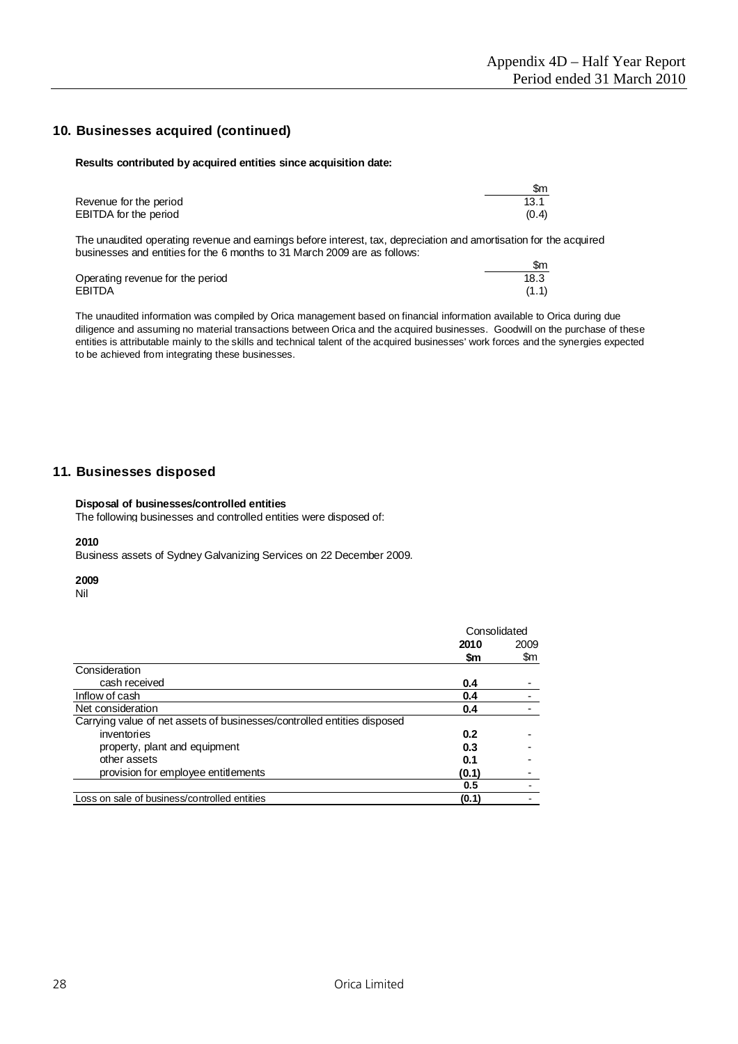# **10. Businesses acquired (continued)**

#### **Results contributed by acquired entities since acquisition date:**

|                        | \$m   |
|------------------------|-------|
| Revenue for the period | 13.1  |
| EBITDA for the period  | (0.4) |

The unaudited operating revenue and earnings before interest, tax, depreciation and amortisation for the acquired businesses and entities for the 6 months to 31 March 2009 are as follows:

|                                  | \$m   |
|----------------------------------|-------|
| Operating revenue for the period | 18.3  |
| <b>EBITDA</b>                    | (1.1) |

The unaudited information was compiled by Orica management based on financial information available to Orica during due diligence and assuming no material transactions between Orica and the acquired businesses. Goodwill on the purchase of these entities is attributable mainly to the skills and technical talent of the acquired businesses' work forces and the synergies expected to be achieved from integrating these businesses.

### **11. Businesses disposed**

#### **Disposal of businesses/controlled entities**

The following businesses and controlled entities were disposed of:

#### **2010**

Business assets of Sydney Galvanizing Services on 22 December 2009.

#### **2009**

Nil

|                                                                         | Consolidated |      |
|-------------------------------------------------------------------------|--------------|------|
|                                                                         | 2010         | 2009 |
|                                                                         | \$m          | \$m  |
| Consideration                                                           |              |      |
| cash received                                                           | 0.4          |      |
| Inflow of cash                                                          | 0.4          |      |
| Net consideration                                                       | 0.4          |      |
| Carrying value of net assets of businesses/controlled entities disposed |              |      |
| inventories                                                             | 0.2          |      |
| property, plant and equipment                                           | 0.3          |      |
| other assets                                                            | 0.1          |      |
| provision for employee entitlements                                     | (0.1)        |      |
|                                                                         | 0.5          |      |
| Loss on sale of business/controlled entities                            | (0.1)        |      |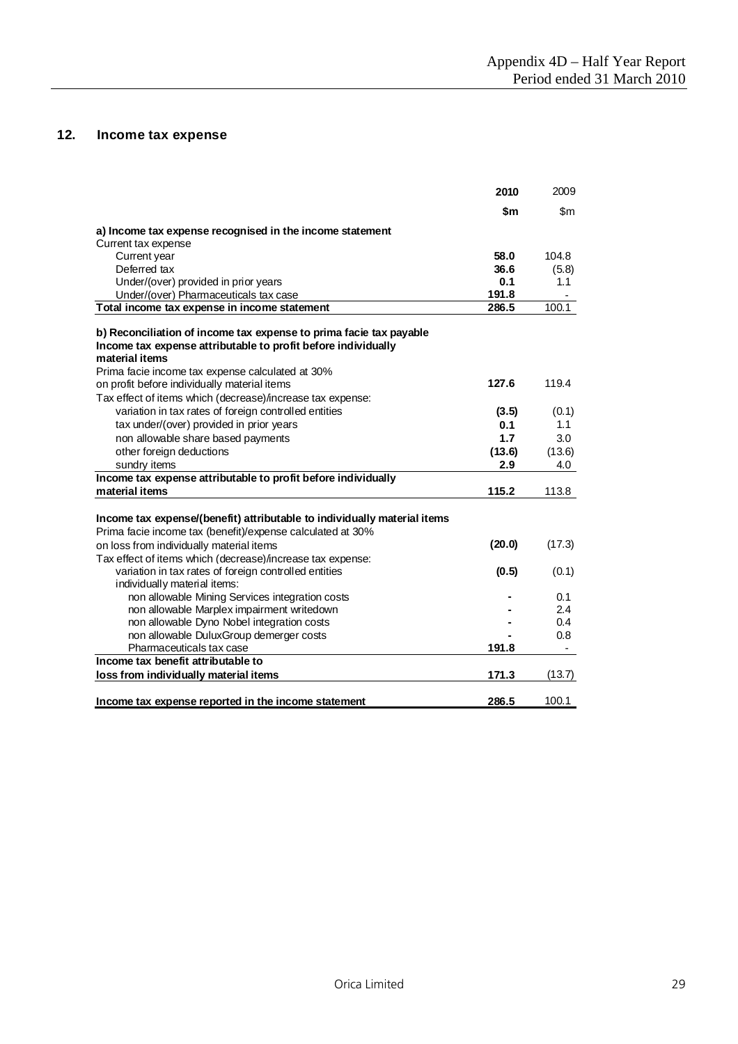# **12. Income tax expense**

|                                                                          | 2010   | 2009   |
|--------------------------------------------------------------------------|--------|--------|
|                                                                          | \$m    | \$m    |
| a) Income tax expense recognised in the income statement                 |        |        |
| Current tax expense                                                      |        |        |
| Current year                                                             | 58.0   | 104.8  |
| Deferred tax                                                             | 36.6   | (5.8)  |
| Under/(over) provided in prior years                                     | 0.1    | 1.1    |
| Under/(over) Pharmaceuticals tax case                                    | 191.8  |        |
| Total income tax expense in income statement                             | 286.5  | 100.1  |
| b) Reconciliation of income tax expense to prima facie tax payable       |        |        |
| Income tax expense attributable to profit before individually            |        |        |
| material items                                                           |        |        |
| Prima facie income tax expense calculated at 30%                         |        |        |
| on profit before individually material items                             | 127.6  | 119.4  |
| Tax effect of items which (decrease)/increase tax expense:               |        |        |
| variation in tax rates of foreign controlled entities                    | (3.5)  | (0.1)  |
| tax under/(over) provided in prior years                                 | 0.1    | 1.1    |
| non allowable share based payments                                       | 1.7    | 3.0    |
| other foreign deductions                                                 | (13.6) | (13.6) |
| sundry items                                                             | 2.9    | 4.0    |
| Income tax expense attributable to profit before individually            |        |        |
| material items                                                           | 115.2  | 113.8  |
|                                                                          |        |        |
| Income tax expense/(benefit) attributable to individually material items |        |        |
| Prima facie income tax (benefit)/expense calculated at 30%               |        |        |
| on loss from individually material items                                 | (20.0) | (17.3) |
|                                                                          |        |        |
| Tax effect of items which (decrease)/increase tax expense:               |        |        |
| variation in tax rates of foreign controlled entities                    | (0.5)  | (0.1)  |
| individually material items:                                             |        |        |
| non allowable Mining Services integration costs                          |        | 0.1    |
| non allowable Marplex impairment writedown                               |        | 2.4    |
| non allowable Dyno Nobel integration costs                               |        | 0.4    |
| non allowable DuluxGroup demerger costs                                  |        | 0.8    |
| Pharmaceuticals tax case                                                 | 191.8  |        |
| Income tax benefit attributable to                                       |        |        |
| loss from individually material items                                    | 171.3  | (13.7) |
| Income tax expense reported in the income statement                      | 286.5  | 100.1  |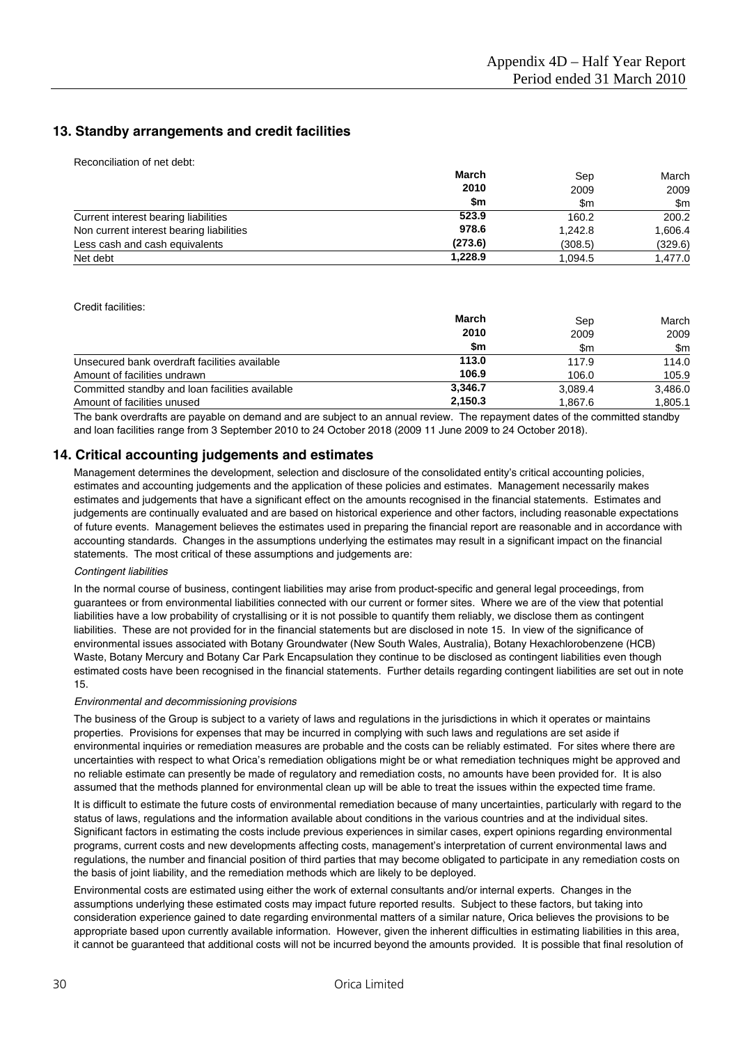## **13. Standby arrangements and credit facilities**

Reconciliation of net debt:

|                                          | <b>March</b><br>2010<br>\$m | Sep         | March       |
|------------------------------------------|-----------------------------|-------------|-------------|
|                                          |                             | 2009<br>\$m | 2009<br>\$m |
|                                          |                             |             |             |
| Current interest bearing liabilities     | 523.9                       | 160.2       | 200.2       |
| Non current interest bearing liabilities | 978.6                       | 1.242.8     | 1,606.4     |
| Less cash and cash equivalents           | (273.6)                     | (308.5)     | (329.6)     |
| Net debt                                 | 1.228.9                     | 1.094.5     | 1,477.0     |

Credit facilities:

|                                                 | March<br>2010<br>\$m | Sep         | March       |
|-------------------------------------------------|----------------------|-------------|-------------|
|                                                 |                      | 2009<br>\$m | 2009<br>\$m |
|                                                 |                      |             |             |
| Unsecured bank overdraft facilities available   | 113.0                | 117.9       | 114.0       |
| Amount of facilities undrawn                    | 106.9                | 106.0       | 105.9       |
| Committed standby and loan facilities available | 3.346.7              | 3.089.4     | 3,486.0     |
| Amount of facilities unused                     | 2.150.3              | 1.867.6     | 1,805.1     |

The bank overdrafts are payable on demand and are subject to an annual review. The repayment dates of the committed standby and loan facilities range from 3 September 2010 to 24 October 2018 (2009 11 June 2009 to 24 October 2018).

#### **14. Critical accounting judgements and estimates**

Management determines the development, selection and disclosure of the consolidated entity's critical accounting policies, estimates and accounting judgements and the application of these policies and estimates. Management necessarily makes estimates and judgements that have a significant effect on the amounts recognised in the financial statements. Estimates and judgements are continually evaluated and are based on historical experience and other factors, including reasonable expectations of future events. Management believes the estimates used in preparing the financial report are reasonable and in accordance with accounting standards. Changes in the assumptions underlying the estimates may result in a significant impact on the financial statements. The most critical of these assumptions and judgements are:

#### *Contingent liabilities*

In the normal course of business, contingent liabilities may arise from product-specific and general legal proceedings, from guarantees or from environmental liabilities connected with our current or former sites. Where we are of the view that potential liabilities have a low probability of crystallising or it is not possible to quantify them reliably, we disclose them as contingent liabilities. These are not provided for in the financial statements but are disclosed in note 15. In view of the significance of environmental issues associated with Botany Groundwater (New South Wales, Australia), Botany Hexachlorobenzene (HCB) Waste, Botany Mercury and Botany Car Park Encapsulation they continue to be disclosed as contingent liabilities even though estimated costs have been recognised in the financial statements. Further details regarding contingent liabilities are set out in note 15.

#### *Environmental and decommissioning provisions*

The business of the Group is subject to a variety of laws and regulations in the jurisdictions in which it operates or maintains properties. Provisions for expenses that may be incurred in complying with such laws and regulations are set aside if environmental inquiries or remediation measures are probable and the costs can be reliably estimated. For sites where there are uncertainties with respect to what Orica's remediation obligations might be or what remediation techniques might be approved and no reliable estimate can presently be made of regulatory and remediation costs, no amounts have been provided for. It is also assumed that the methods planned for environmental clean up will be able to treat the issues within the expected time frame.

It is difficult to estimate the future costs of environmental remediation because of many uncertainties, particularly with regard to the status of laws, regulations and the information available about conditions in the various countries and at the individual sites. Significant factors in estimating the costs include previous experiences in similar cases, expert opinions regarding environmental programs, current costs and new developments affecting costs, management's interpretation of current environmental laws and regulations, the number and financial position of third parties that may become obligated to participate in any remediation costs on the basis of joint liability, and the remediation methods which are likely to be deployed.

Environmental costs are estimated using either the work of external consultants and/or internal experts. Changes in the assumptions underlying these estimated costs may impact future reported results. Subject to these factors, but taking into consideration experience gained to date regarding environmental matters of a similar nature, Orica believes the provisions to be appropriate based upon currently available information. However, given the inherent difficulties in estimating liabilities in this area, it cannot be guaranteed that additional costs will not be incurred beyond the amounts provided. It is possible that final resolution of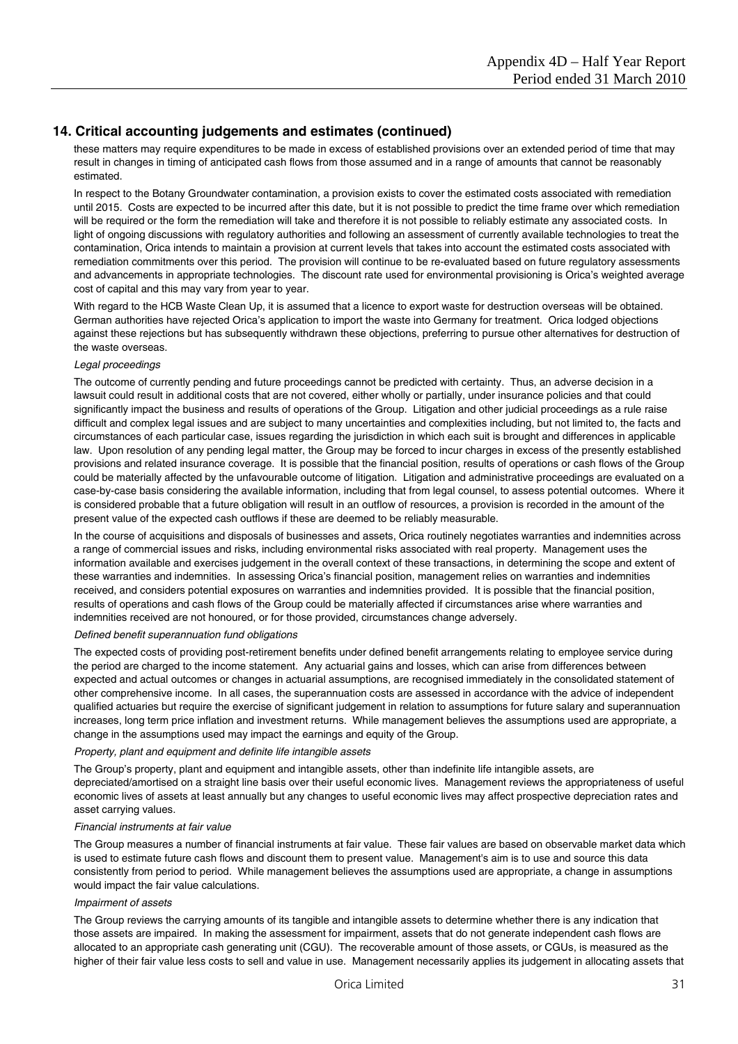## **14. Critical accounting judgements and estimates (continued)**

these matters may require expenditures to be made in excess of established provisions over an extended period of time that may result in changes in timing of anticipated cash flows from those assumed and in a range of amounts that cannot be reasonably estimated.

In respect to the Botany Groundwater contamination, a provision exists to cover the estimated costs associated with remediation until 2015. Costs are expected to be incurred after this date, but it is not possible to predict the time frame over which remediation will be required or the form the remediation will take and therefore it is not possible to reliably estimate any associated costs. In light of ongoing discussions with regulatory authorities and following an assessment of currently available technologies to treat the contamination, Orica intends to maintain a provision at current levels that takes into account the estimated costs associated with remediation commitments over this period. The provision will continue to be re-evaluated based on future regulatory assessments and advancements in appropriate technologies. The discount rate used for environmental provisioning is Orica's weighted average cost of capital and this may vary from year to year.

With regard to the HCB Waste Clean Up, it is assumed that a licence to export waste for destruction overseas will be obtained. German authorities have rejected Orica's application to import the waste into Germany for treatment. Orica lodged objections against these rejections but has subsequently withdrawn these objections, preferring to pursue other alternatives for destruction of the waste overseas.

#### *Legal proceedings*

The outcome of currently pending and future proceedings cannot be predicted with certainty. Thus, an adverse decision in a lawsuit could result in additional costs that are not covered, either wholly or partially, under insurance policies and that could significantly impact the business and results of operations of the Group. Litigation and other judicial proceedings as a rule raise difficult and complex legal issues and are subject to many uncertainties and complexities including, but not limited to, the facts and circumstances of each particular case, issues regarding the jurisdiction in which each suit is brought and differences in applicable law. Upon resolution of any pending legal matter, the Group may be forced to incur charges in excess of the presently established provisions and related insurance coverage. It is possible that the financial position, results of operations or cash flows of the Group could be materially affected by the unfavourable outcome of litigation. Litigation and administrative proceedings are evaluated on a case-by-case basis considering the available information, including that from legal counsel, to assess potential outcomes. Where it is considered probable that a future obligation will result in an outflow of resources, a provision is recorded in the amount of the present value of the expected cash outflows if these are deemed to be reliably measurable.

In the course of acquisitions and disposals of businesses and assets, Orica routinely negotiates warranties and indemnities across a range of commercial issues and risks, including environmental risks associated with real property. Management uses the information available and exercises judgement in the overall context of these transactions, in determining the scope and extent of these warranties and indemnities. In assessing Orica's financial position, management relies on warranties and indemnities received, and considers potential exposures on warranties and indemnities provided. It is possible that the financial position, results of operations and cash flows of the Group could be materially affected if circumstances arise where warranties and indemnities received are not honoured, or for those provided, circumstances change adversely.

#### *Defined benefit superannuation fund obligations*

The expected costs of providing post-retirement benefits under defined benefit arrangements relating to employee service during the period are charged to the income statement. Any actuarial gains and losses, which can arise from differences between expected and actual outcomes or changes in actuarial assumptions, are recognised immediately in the consolidated statement of other comprehensive income. In all cases, the superannuation costs are assessed in accordance with the advice of independent qualified actuaries but require the exercise of significant judgement in relation to assumptions for future salary and superannuation increases, long term price inflation and investment returns. While management believes the assumptions used are appropriate, a change in the assumptions used may impact the earnings and equity of the Group.

#### *Property, plant and equipment and definite life intangible assets*

The Group's property, plant and equipment and intangible assets, other than indefinite life intangible assets, are depreciated/amortised on a straight line basis over their useful economic lives. Management reviews the appropriateness of useful economic lives of assets at least annually but any changes to useful economic lives may affect prospective depreciation rates and asset carrying values.

#### *Financial instruments at fair value*

The Group measures a number of financial instruments at fair value. These fair values are based on observable market data which is used to estimate future cash flows and discount them to present value. Management's aim is to use and source this data consistently from period to period. While management believes the assumptions used are appropriate, a change in assumptions would impact the fair value calculations.

#### *Impairment of assets*

The Group reviews the carrying amounts of its tangible and intangible assets to determine whether there is any indication that those assets are impaired. In making the assessment for impairment, assets that do not generate independent cash flows are allocated to an appropriate cash generating unit (CGU). The recoverable amount of those assets, or CGUs, is measured as the higher of their fair value less costs to sell and value in use. Management necessarily applies its judgement in allocating assets that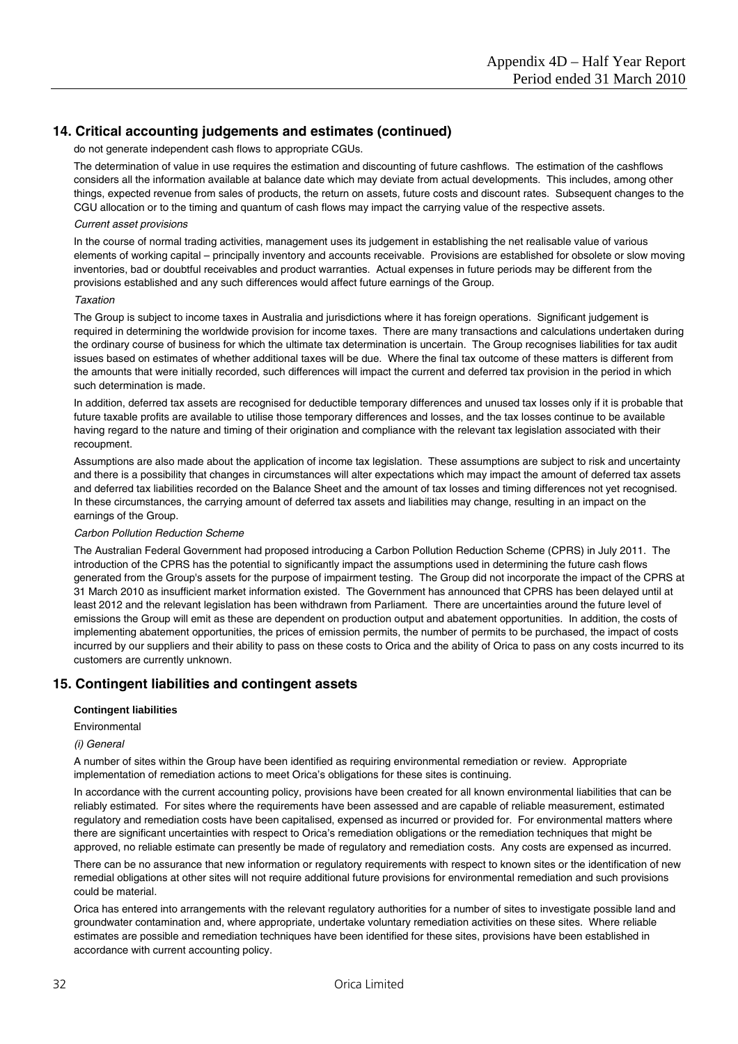# **14. Critical accounting judgements and estimates (continued)**

do not generate independent cash flows to appropriate CGUs.

The determination of value in use requires the estimation and discounting of future cashflows. The estimation of the cashflows considers all the information available at balance date which may deviate from actual developments. This includes, among other things, expected revenue from sales of products, the return on assets, future costs and discount rates. Subsequent changes to the CGU allocation or to the timing and quantum of cash flows may impact the carrying value of the respective assets.

#### *Current asset provisions*

In the course of normal trading activities, management uses its judgement in establishing the net realisable value of various elements of working capital – principally inventory and accounts receivable. Provisions are established for obsolete or slow moving inventories, bad or doubtful receivables and product warranties. Actual expenses in future periods may be different from the provisions established and any such differences would affect future earnings of the Group.

#### *Taxation*

The Group is subject to income taxes in Australia and jurisdictions where it has foreign operations. Significant judgement is required in determining the worldwide provision for income taxes. There are many transactions and calculations undertaken during the ordinary course of business for which the ultimate tax determination is uncertain. The Group recognises liabilities for tax audit issues based on estimates of whether additional taxes will be due. Where the final tax outcome of these matters is different from the amounts that were initially recorded, such differences will impact the current and deferred tax provision in the period in which such determination is made.

In addition, deferred tax assets are recognised for deductible temporary differences and unused tax losses only if it is probable that future taxable profits are available to utilise those temporary differences and losses, and the tax losses continue to be available having regard to the nature and timing of their origination and compliance with the relevant tax legislation associated with their recoupment.

Assumptions are also made about the application of income tax legislation. These assumptions are subject to risk and uncertainty and there is a possibility that changes in circumstances will alter expectations which may impact the amount of deferred tax assets and deferred tax liabilities recorded on the Balance Sheet and the amount of tax losses and timing differences not yet recognised. In these circumstances, the carrying amount of deferred tax assets and liabilities may change, resulting in an impact on the earnings of the Group.

#### *Carbon Pollution Reduction Scheme*

The Australian Federal Government had proposed introducing a Carbon Pollution Reduction Scheme (CPRS) in July 2011. The introduction of the CPRS has the potential to significantly impact the assumptions used in determining the future cash flows generated from the Group's assets for the purpose of impairment testing. The Group did not incorporate the impact of the CPRS at 31 March 2010 as insufficient market information existed. The Government has announced that CPRS has been delayed until at least 2012 and the relevant legislation has been withdrawn from Parliament. There are uncertainties around the future level of emissions the Group will emit as these are dependent on production output and abatement opportunities. In addition, the costs of implementing abatement opportunities, the prices of emission permits, the number of permits to be purchased, the impact of costs incurred by our suppliers and their ability to pass on these costs to Orica and the ability of Orica to pass on any costs incurred to its customers are currently unknown.

#### **15. Contingent liabilities and contingent assets**

#### **Contingent liabilities**

Environmental

#### *(i) General*

A number of sites within the Group have been identified as requiring environmental remediation or review. Appropriate implementation of remediation actions to meet Orica's obligations for these sites is continuing.

In accordance with the current accounting policy, provisions have been created for all known environmental liabilities that can be reliably estimated. For sites where the requirements have been assessed and are capable of reliable measurement, estimated regulatory and remediation costs have been capitalised, expensed as incurred or provided for. For environmental matters where there are significant uncertainties with respect to Orica's remediation obligations or the remediation techniques that might be approved, no reliable estimate can presently be made of regulatory and remediation costs. Any costs are expensed as incurred.

There can be no assurance that new information or regulatory requirements with respect to known sites or the identification of new remedial obligations at other sites will not require additional future provisions for environmental remediation and such provisions could be material.

Orica has entered into arrangements with the relevant regulatory authorities for a number of sites to investigate possible land and groundwater contamination and, where appropriate, undertake voluntary remediation activities on these sites. Where reliable estimates are possible and remediation techniques have been identified for these sites, provisions have been established in accordance with current accounting policy.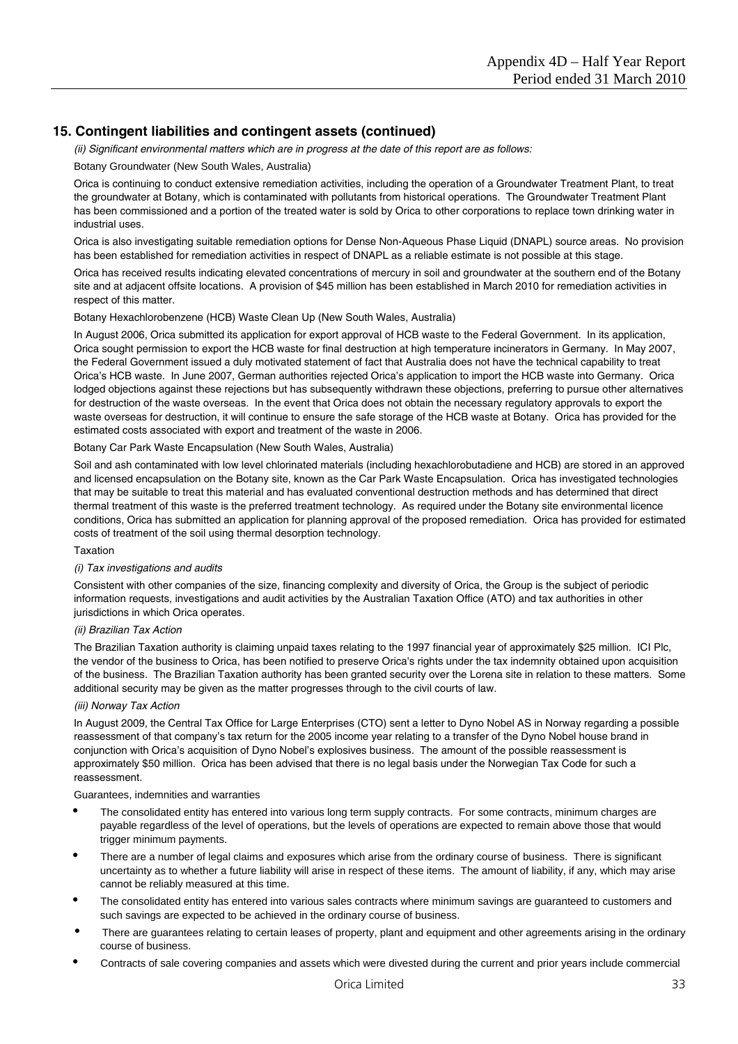# **15. Contingent liabilities and contingent assets (continued)**

*(ii) Significant environmental matters which are in progress at the date of this report are as follows:* 

#### Botany Groundwater (New South Wales, Australia)

Orica is continuing to conduct extensive remediation activities, including the operation of a Groundwater Treatment Plant, to treat the groundwater at Botany, which is contaminated with pollutants from historical operations. The Groundwater Treatment Plant has been commissioned and a portion of the treated water is sold by Orica to other corporations to replace town drinking water in industrial uses.

Orica is also investigating suitable remediation options for Dense Non-Aqueous Phase Liquid (DNAPL) source areas. No provision has been established for remediation activities in respect of DNAPL as a reliable estimate is not possible at this stage.

Orica has received results indicating elevated concentrations of mercury in soil and groundwater at the southern end of the Botany site and at adjacent offsite locations. A provision of \$45 million has been established in March 2010 for remediation activities in respect of this matter.

#### Botany Hexachlorobenzene (HCB) Waste Clean Up (New South Wales, Australia)

In August 2006, Orica submitted its application for export approval of HCB waste to the Federal Government. In its application, Orica sought permission to export the HCB waste for final destruction at high temperature incinerators in Germany. In May 2007, the Federal Government issued a duly motivated statement of fact that Australia does not have the technical capability to treat Orica's HCB waste. In June 2007, German authorities rejected Orica's application to import the HCB waste into Germany. Orica lodged objections against these rejections but has subsequently withdrawn these objections, preferring to pursue other alternatives for destruction of the waste overseas. In the event that Orica does not obtain the necessary regulatory approvals to export the waste overseas for destruction, it will continue to ensure the safe storage of the HCB waste at Botany. Orica has provided for the estimated costs associated with export and treatment of the waste in 2006.

#### Botany Car Park Waste Encapsulation (New South Wales, Australia)

Soil and ash contaminated with low level chlorinated materials (including hexachlorobutadiene and HCB) are stored in an approved and licensed encapsulation on the Botany site, known as the Car Park Waste Encapsulation. Orica has investigated technologies that may be suitable to treat this material and has evaluated conventional destruction methods and has determined that direct thermal treatment of this waste is the preferred treatment technology. As required under the Botany site environmental licence conditions, Orica has submitted an application for planning approval of the proposed remediation. Orica has provided for estimated costs of treatment of the soil using thermal desorption technology.

#### Taxation

### *(i) Tax investigations and audits*

Consistent with other companies of the size, financing complexity and diversity of Orica, the Group is the subject of periodic information requests, investigations and audit activities by the Australian Taxation Office (ATO) and tax authorities in other jurisdictions in which Orica operates.

#### *(ii) Brazilian Tax Action*

The Brazilian Taxation authority is claiming unpaid taxes relating to the 1997 financial year of approximately \$25 million. ICI Plc, the vendor of the business to Orica, has been notified to preserve Orica's rights under the tax indemnity obtained upon acquisition of the business. The Brazilian Taxation authority has been granted security over the Lorena site in relation to these matters. Some additional security may be given as the matter progresses through to the civil courts of law.

#### *(iii) Norway Tax Action*

In August 2009, the Central Tax Office for Large Enterprises (CTO) sent a letter to Dyno Nobel AS in Norway regarding a possible reassessment of that company's tax return for the 2005 income year relating to a transfer of the Dyno Nobel house brand in conjunction with Orica's acquisition of Dyno Nobel's explosives business. The amount of the possible reassessment is approximately \$50 million. Orica has been advised that there is no legal basis under the Norwegian Tax Code for such a reassessment.

#### Guarantees, indemnities and warranties

- The consolidated entity has entered into various long term supply contracts. For some contracts, minimum charges are payable regardless of the level of operations, but the levels of operations are expected to remain above those that would trigger minimum payments.
- There are a number of legal claims and exposures which arise from the ordinary course of business. There is significant uncertainty as to whether a future liability will arise in respect of these items. The amount of liability, if any, which may arise cannot be reliably measured at this time.
- The consolidated entity has entered into various sales contracts where minimum savings are guaranteed to customers and such savings are expected to be achieved in the ordinary course of business.
- There are guarantees relating to certain leases of property, plant and equipment and other agreements arising in the ordinary course of business.
- Contracts of sale covering companies and assets which were divested during the current and prior years include commercial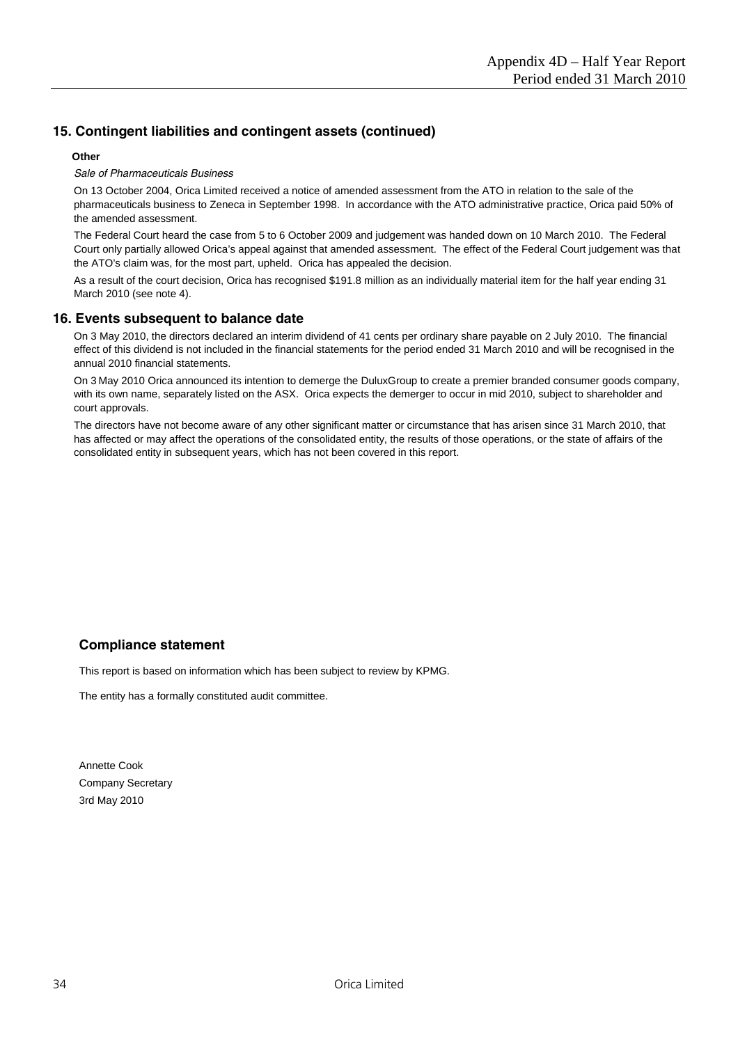# **15. Contingent liabilities and contingent assets (continued)**

#### **Other**

#### *Sale of Pharmaceuticals Business*

On 13 October 2004, Orica Limited received a notice of amended assessment from the ATO in relation to the sale of the pharmaceuticals business to Zeneca in September 1998. In accordance with the ATO administrative practice, Orica paid 50% of the amended assessment.

The Federal Court heard the case from 5 to 6 October 2009 and judgement was handed down on 10 March 2010. The Federal Court only partially allowed Orica's appeal against that amended assessment. The effect of the Federal Court judgement was that the ATO's claim was, for the most part, upheld. Orica has appealed the decision.

As a result of the court decision, Orica has recognised \$191.8 million as an individually material item for the half year ending 31 March 2010 (see note 4).

## **16. Events subsequent to balance date**

On 3 May 2010, the directors declared an interim dividend of 41 cents per ordinary share payable on 2 July 2010. The financial effect of this dividend is not included in the financial statements for the period ended 31 March 2010 and will be recognised in the annual 2010 financial statements.

On 3 May 2010 Orica announced its intention to demerge the DuluxGroup to create a premier branded consumer goods company, with its own name, separately listed on the ASX. Orica expects the demerger to occur in mid 2010, subject to shareholder and court approvals.

The directors have not become aware of any other significant matter or circumstance that has arisen since 31 March 2010, that has affected or may affect the operations of the consolidated entity, the results of those operations, or the state of affairs of the consolidated entity in subsequent years, which has not been covered in this report.

# **Compliance statement**

This report is based on information which has been subject to review by KPMG.

The entity has a formally constituted audit committee.

Annette Cook Company Secretary 3rd May 2010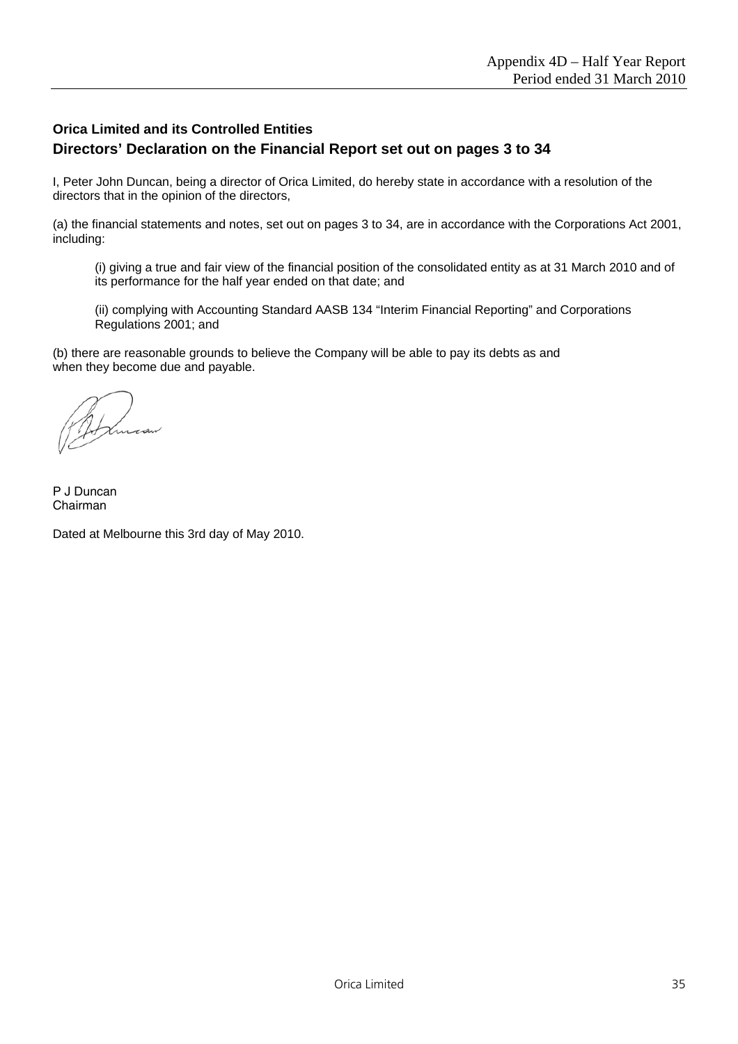# **Orica Limited and its Controlled Entities Directors' Declaration on the Financial Report set out on pages 3 to 34**

I, Peter John Duncan, being a director of Orica Limited, do hereby state in accordance with a resolution of the directors that in the opinion of the directors,

(a) the financial statements and notes, set out on pages 3 to 34, are in accordance with the Corporations Act 2001, including:

(i) giving a true and fair view of the financial position of the consolidated entity as at 31 March 2010 and of its performance for the half year ended on that date; and

(ii) complying with Accounting Standard AASB 134 "Interim Financial Reporting" and Corporations Regulations 2001; and

(b) there are reasonable grounds to believe the Company will be able to pay its debts as and when they become due and payable.

P J Duncan Chairman

Dated at Melbourne this 3rd day of May 2010.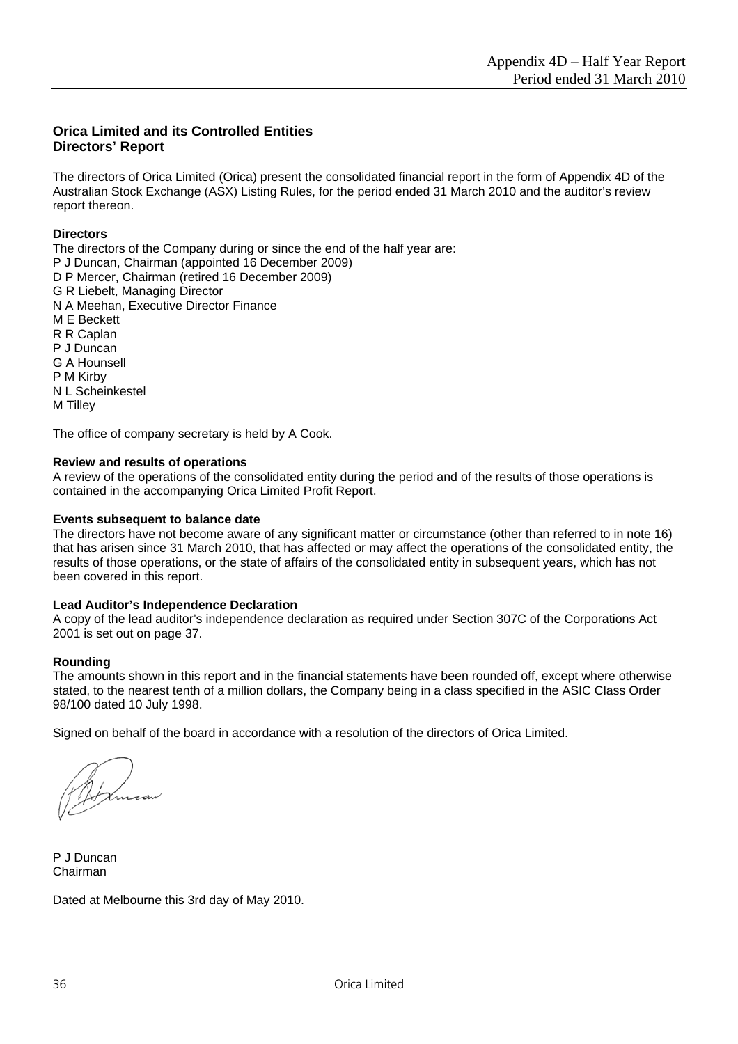# **Orica Limited and its Controlled Entities Directors' Report**

The directors of Orica Limited (Orica) present the consolidated financial report in the form of Appendix 4D of the Australian Stock Exchange (ASX) Listing Rules, for the period ended 31 March 2010 and the auditor's review report thereon.

## **Directors**

The directors of the Company during or since the end of the half year are: P J Duncan, Chairman (appointed 16 December 2009) D P Mercer, Chairman (retired 16 December 2009) G R Liebelt, Managing Director N A Meehan, Executive Director Finance M E Beckett R R Caplan P J Duncan G A Hounsell P M Kirby N L Scheinkestel M Tilley

The office of company secretary is held by A Cook.

## **Review and results of operations**

A review of the operations of the consolidated entity during the period and of the results of those operations is contained in the accompanying Orica Limited Profit Report.

#### **Events subsequent to balance date**

The directors have not become aware of any significant matter or circumstance (other than referred to in note 16) that has arisen since 31 March 2010, that has affected or may affect the operations of the consolidated entity, the results of those operations, or the state of affairs of the consolidated entity in subsequent years, which has not been covered in this report.

#### **Lead Auditor's Independence Declaration**

A copy of the lead auditor's independence declaration as required under Section 307C of the Corporations Act 2001 is set out on page 37.

#### **Rounding**

The amounts shown in this report and in the financial statements have been rounded off, except where otherwise stated, to the nearest tenth of a million dollars, the Company being in a class specified in the ASIC Class Order 98/100 dated 10 July 1998.

Signed on behalf of the board in accordance with a resolution of the directors of Orica Limited.

P J Duncan Chairman

Dated at Melbourne this 3rd day of May 2010.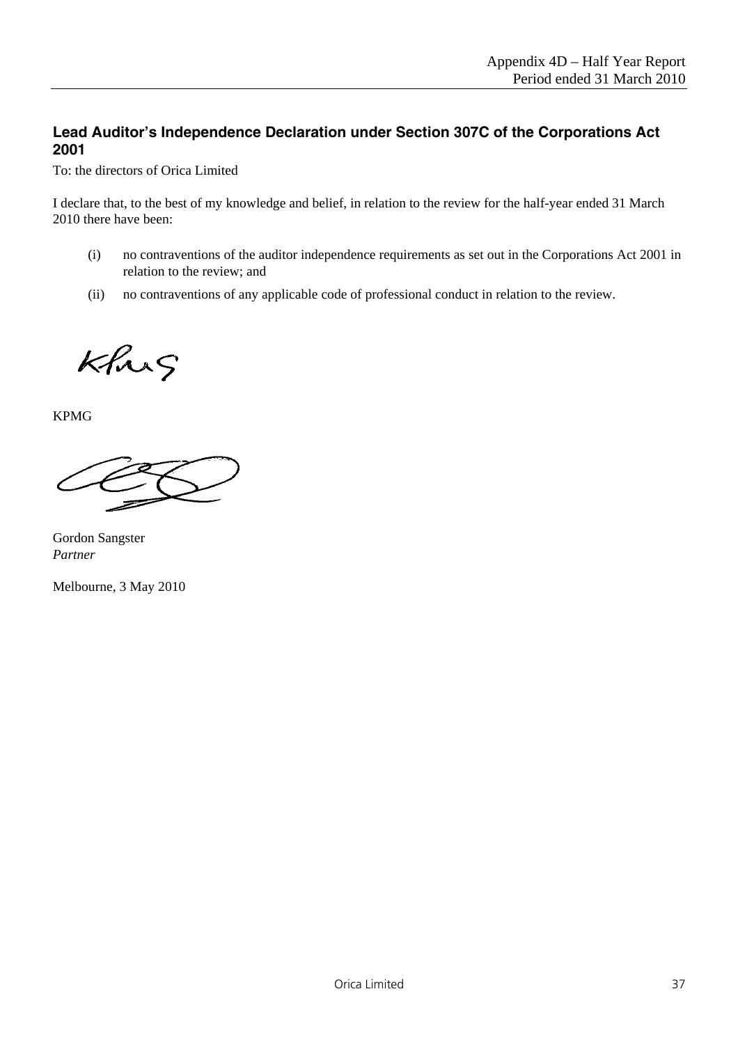# **Lead Auditor's Independence Declaration under Section 307C of the Corporations Act 2001**

To: the directors of Orica Limited

I declare that, to the best of my knowledge and belief, in relation to the review for the half-year ended 31 March 2010 there have been:

- (i) no contraventions of the auditor independence requirements as set out in the Corporations Act 2001 in relation to the review; and
- (ii) no contraventions of any applicable code of professional conduct in relation to the review.

Khrs

KPMG

Gordon Sangster *Partner*

Melbourne, 3 May 2010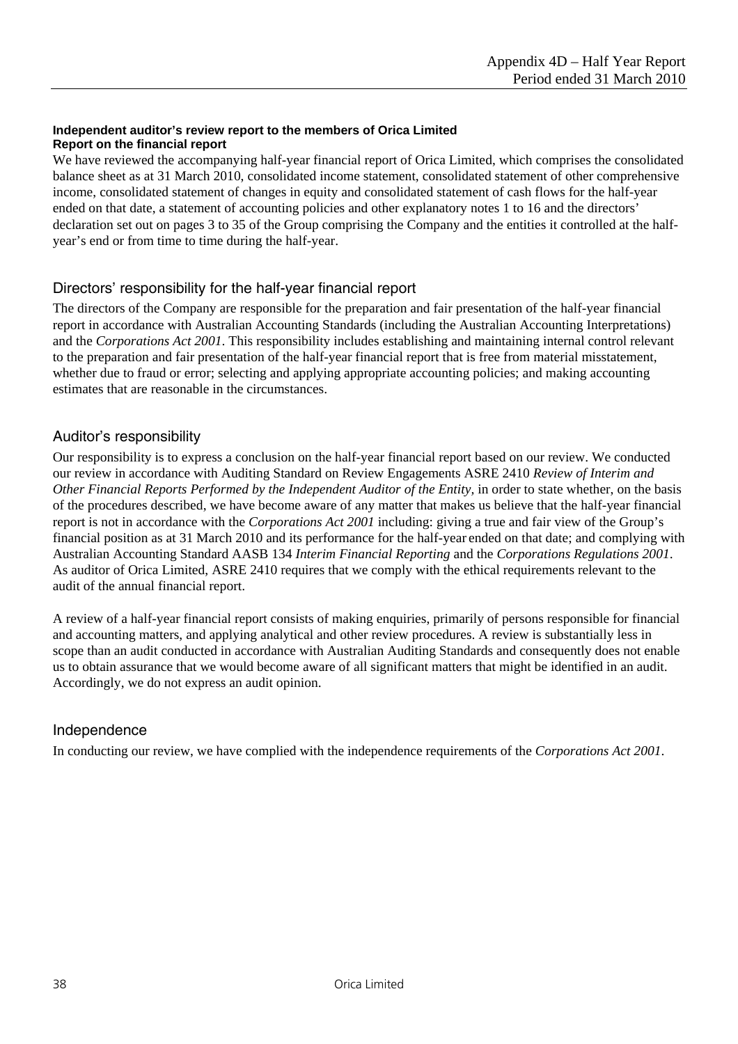## **Independent auditor's review report to the members of Orica Limited Report on the financial report**

We have reviewed the accompanying half-year financial report of Orica Limited, which comprises the consolidated balance sheet as at 31 March 2010, consolidated income statement, consolidated statement of other comprehensive income, consolidated statement of changes in equity and consolidated statement of cash flows for the half-year ended on that date, a statement of accounting policies and other explanatory notes 1 to 16 and the directors' declaration set out on pages 3 to 35 of the Group comprising the Company and the entities it controlled at the halfyear's end or from time to time during the half-year.

# Directors' responsibility for the half-year financial report

The directors of the Company are responsible for the preparation and fair presentation of the half-year financial report in accordance with Australian Accounting Standards (including the Australian Accounting Interpretations) and the *Corporations Act 2001*. This responsibility includes establishing and maintaining internal control relevant to the preparation and fair presentation of the half-year financial report that is free from material misstatement, whether due to fraud or error; selecting and applying appropriate accounting policies; and making accounting estimates that are reasonable in the circumstances.

# Auditor's responsibility

Our responsibility is to express a conclusion on the half-year financial report based on our review. We conducted our review in accordance with Auditing Standard on Review Engagements ASRE 2410 *Review of Interim and Other Financial Reports Performed by the Independent Auditor of the Entity,* in order to state whether, on the basis of the procedures described, we have become aware of any matter that makes us believe that the half-year financial report is not in accordance with the *Corporations Act 2001* including: giving a true and fair view of the Group's financial position as at 31 March 2010 and its performance for the half-year ended on that date; and complying with Australian Accounting Standard AASB 134 *Interim Financial Reporting* and the *Corporations Regulations 2001*. As auditor of Orica Limited, ASRE 2410 requires that we comply with the ethical requirements relevant to the audit of the annual financial report.

A review of a half-year financial report consists of making enquiries, primarily of persons responsible for financial and accounting matters, and applying analytical and other review procedures. A review is substantially less in scope than an audit conducted in accordance with Australian Auditing Standards and consequently does not enable us to obtain assurance that we would become aware of all significant matters that might be identified in an audit. Accordingly, we do not express an audit opinion.

# Independence

In conducting our review, we have complied with the independence requirements of the *Corporations Act 2001*.